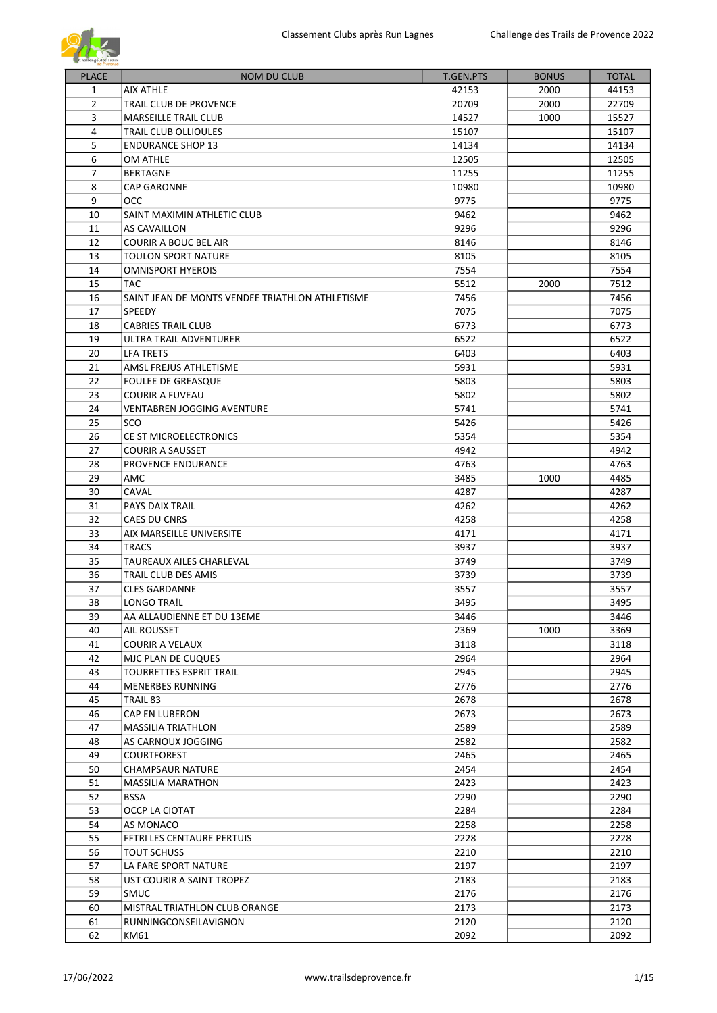

| <b>PLACE</b>   | <b>NOM DU CLUB</b>                              | <b>T.GEN.PTS</b> | <b>BONUS</b> | <b>TOTAL</b> |
|----------------|-------------------------------------------------|------------------|--------------|--------------|
| $\mathbf{1}$   | <b>AIX ATHLE</b>                                | 42153            | 2000         | 44153        |
| $\overline{2}$ | TRAIL CLUB DE PROVENCE                          | 20709            | 2000         | 22709        |
| 3              | <b>MARSEILLE TRAIL CLUB</b>                     | 14527            | 1000         | 15527        |
| 4              | TRAIL CLUB OLLIOULES                            | 15107            |              | 15107        |
| 5              | <b>ENDURANCE SHOP 13</b>                        | 14134            |              | 14134        |
| 6              | OM ATHLE                                        | 12505            |              | 12505        |
| $\overline{7}$ | <b>BERTAGNE</b>                                 | 11255            |              | 11255        |
| 8              | <b>CAP GARONNE</b>                              | 10980            |              | 10980        |
| 9              | OCC                                             | 9775             |              | 9775         |
| 10             | SAINT MAXIMIN ATHLETIC CLUB                     | 9462             |              | 9462         |
| 11             | <b>AS CAVAILLON</b>                             | 9296             |              | 9296         |
| 12             | <b>COURIR A BOUC BEL AIR</b>                    | 8146             |              | 8146         |
| 13             | <b>TOULON SPORT NATURE</b>                      | 8105             |              | 8105         |
| 14             | <b>OMNISPORT HYEROIS</b>                        | 7554             |              | 7554         |
| 15             | <b>TAC</b>                                      | 5512             | 2000         | 7512         |
| 16             | SAINT JEAN DE MONTS VENDEE TRIATHLON ATHLETISME | 7456             |              | 7456         |
| 17             | SPEEDY                                          | 7075             |              | 7075         |
| 18             | CABRIES TRAIL CLUB                              | 6773             |              | 6773         |
| 19             | ULTRA TRAIL ADVENTURER                          | 6522             |              | 6522         |
| 20             | LFA TRETS                                       | 6403             |              | 6403         |
| 21             | AMSL FREJUS ATHLETISME                          | 5931             |              | 5931         |
| 22             | <b>FOULEE DE GREASQUE</b>                       | 5803             |              | 5803         |
| 23             | <b>COURIR A FUVEAU</b>                          | 5802             |              | 5802         |
| 24             | <b>VENTABREN JOGGING AVENTURE</b>               | 5741             |              | 5741         |
| 25             | SCO                                             | 5426             |              | 5426         |
| 26             | CE ST MICROELECTRONICS                          | 5354             |              | 5354         |
| 27             | <b>COURIR A SAUSSET</b>                         | 4942             |              | 4942         |
| 28             | PROVENCE ENDURANCE                              | 4763             |              | 4763         |
| 29             | AMC                                             | 3485             | 1000         | 4485         |
| 30             | CAVAL                                           | 4287             |              | 4287         |
| 31             | PAYS DAIX TRAIL                                 | 4262             |              | 4262         |
| 32             | CAES DU CNRS                                    | 4258             |              | 4258         |
| 33             | AIX MARSEILLE UNIVERSITE                        | 4171             |              | 4171         |
| 34             | <b>TRACS</b>                                    | 3937             |              | 3937         |
| 35             | <b>TAUREAUX AILES CHARLEVAL</b>                 | 3749             |              | 3749         |
| 36             | TRAIL CLUB DES AMIS                             | 3739             |              | 3739         |
| 37             | <b>CLES GARDANNE</b>                            | 3557             |              | 3557         |
| 38             | LONGO TRA!L                                     | 3495             |              | 3495         |
| 39             | AA ALLAUDIENNE ET DU 13EME                      | 3446             |              | 3446         |
| 40             | AIL ROUSSET                                     | 2369             | 1000         | 3369         |
| 41             | <b>COURIR A VELAUX</b>                          | 3118             |              | 3118         |
| 42             | MJC PLAN DE CUQUES                              | 2964             |              | 2964         |
| 43             | TOURRETTES ESPRIT TRAIL                         | 2945             |              | 2945         |
| 44             | <b>MENERBES RUNNING</b>                         | 2776             |              | 2776         |
| 45             | TRAIL 83                                        | 2678             |              | 2678         |
| 46             | CAP EN LUBERON                                  | 2673             |              | 2673         |
| 47             | <b>MASSILIA TRIATHLON</b>                       | 2589             |              | 2589         |
| 48             | AS CARNOUX JOGGING                              | 2582             |              | 2582         |
| 49             | <b>COURTFOREST</b>                              | 2465             |              | 2465         |
| 50             | <b>CHAMPSAUR NATURE</b>                         | 2454             |              | 2454         |
| 51             | <b>MASSILIA MARATHON</b>                        | 2423             |              | 2423         |
| 52             | <b>BSSA</b>                                     | 2290             |              | 2290         |
| 53             | OCCP LA CIOTAT                                  | 2284             |              | 2284         |
| 54             | AS MONACO                                       | 2258             |              | 2258         |
| 55             | FFTRI LES CENTAURE PERTUIS                      | 2228             |              | 2228         |
| 56             | <b>TOUT SCHUSS</b>                              | 2210             |              | 2210         |
| 57             | LA FARE SPORT NATURE                            | 2197             |              | 2197         |
| 58             | UST COURIR A SAINT TROPEZ                       | 2183             |              | 2183         |
| 59             | SMUC                                            | 2176             |              | 2176         |
| 60             | MISTRAL TRIATHLON CLUB ORANGE                   | 2173             |              | 2173         |
| 61             | RUNNINGCONSEILAVIGNON                           | 2120             |              | 2120         |
| 62             | KM61                                            | 2092             |              | 2092         |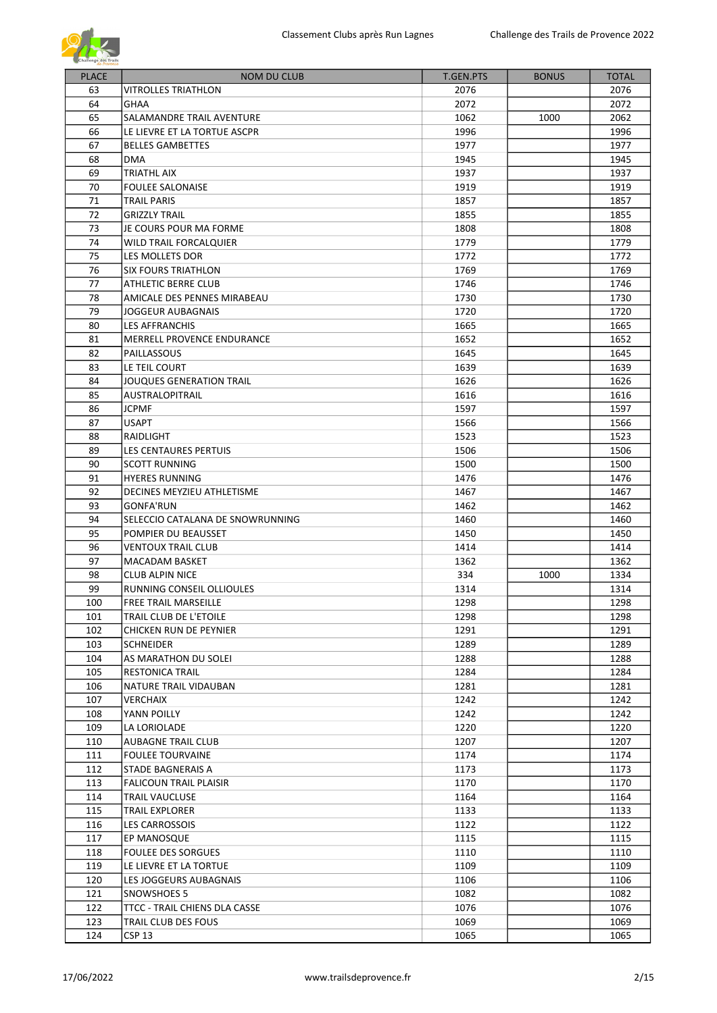

| <b>PLACE</b> | <b>NOM DU CLUB</b>               | T.GEN.PTS | <b>BONUS</b> | <b>TOTAL</b> |
|--------------|----------------------------------|-----------|--------------|--------------|
| 63           | VITROLLES TRIATHLON              | 2076      |              | 2076         |
| 64           | <b>GHAA</b>                      | 2072      |              | 2072         |
| 65           | SALAMANDRE TRAIL AVENTURE        | 1062      | 1000         | 2062         |
| 66           | LE LIEVRE ET LA TORTUE ASCPR     | 1996      |              | 1996         |
| 67           | <b>BELLES GAMBETTES</b>          | 1977      |              | 1977         |
| 68           | <b>DMA</b>                       | 1945      |              | 1945         |
| 69           | TRIATHL AIX                      | 1937      |              | 1937         |
| 70           | <b>FOULEE SALONAISE</b>          | 1919      |              | 1919         |
| 71           | TRAIL PARIS                      | 1857      |              | 1857         |
| 72           | <b>GRIZZLY TRAIL</b>             | 1855      |              | 1855         |
| 73           | JE COURS POUR MA FORME           | 1808      |              | 1808         |
| 74           | WILD TRAIL FORCALQUIER           | 1779      |              | 1779         |
| 75           | LES MOLLETS DOR                  | 1772      |              | 1772         |
| 76           | <b>SIX FOURS TRIATHLON</b>       | 1769      |              | 1769         |
| 77           |                                  |           |              | 1746         |
|              | ATHLETIC BERRE CLUB              | 1746      |              |              |
| 78           | AMICALE DES PENNES MIRABEAU      | 1730      |              | 1730         |
| 79           | <b>JOGGEUR AUBAGNAIS</b>         | 1720      |              | 1720         |
| 80           | <b>LES AFFRANCHIS</b>            | 1665      |              | 1665         |
| 81           | MERRELL PROVENCE ENDURANCE       | 1652      |              | 1652         |
| 82           | PAILLASSOUS                      | 1645      |              | 1645         |
| 83           | LE TEIL COURT                    | 1639      |              | 1639         |
| 84           | JOUQUES GENERATION TRAIL         | 1626      |              | 1626         |
| 85           | <b>AUSTRALOPITRAIL</b>           | 1616      |              | 1616         |
| 86           | <b>JCPMF</b>                     | 1597      |              | 1597         |
| 87           | <b>USAPT</b>                     | 1566      |              | 1566         |
| 88           | RAIDLIGHT                        | 1523      |              | 1523         |
| 89           | LES CENTAURES PERTUIS            | 1506      |              | 1506         |
| 90           | <b>SCOTT RUNNING</b>             | 1500      |              | 1500         |
|              |                                  |           |              |              |
| 91           | <b>HYERES RUNNING</b>            | 1476      |              | 1476         |
| 92           | DECINES MEYZIEU ATHLETISME       | 1467      |              | 1467         |
| 93           | <b>GONFA'RUN</b>                 | 1462      |              | 1462         |
| 94           | SELECCIO CATALANA DE SNOWRUNNING | 1460      |              | 1460         |
| 95           | POMPIER DU BEAUSSET              | 1450      |              | 1450         |
| 96           | <b>VENTOUX TRAIL CLUB</b>        | 1414      |              | 1414         |
| 97           | <b>MACADAM BASKET</b>            | 1362      |              | 1362         |
| 98           | <b>CLUB ALPIN NICE</b>           | 334       | 1000         | 1334         |
| 99           | RUNNING CONSEIL OLLIOULES        | 1314      |              | 1314         |
| 100          | <b>FREE TRAIL MARSEILLE</b>      | 1298      |              | 1298         |
| 101          | TRAIL CLUB DE L'ETOILE           | 1298      |              | 1298         |
| 102          | CHICKEN RUN DE PEYNIER           | 1291      |              | 1291         |
| 103          | <b>SCHNEIDER</b>                 | 1289      |              | 1289         |
| 104          | AS MARATHON DU SOLEI             | 1288      |              | 1288         |
|              |                                  |           |              |              |
| 105          | <b>RESTONICA TRAIL</b>           | 1284      |              | 1284         |
| 106          | NATURE TRAIL VIDAUBAN            | 1281      |              | 1281         |
| 107          | VERCHAIX                         | 1242      |              | 1242         |
| 108          | YANN POILLY                      | 1242      |              | 1242         |
| 109          | LA LORIOLADE                     | 1220      |              | 1220         |
| 110          | AUBAGNE TRAIL CLUB               | 1207      |              | 1207         |
| 111          | <b>FOULEE TOURVAINE</b>          | 1174      |              | 1174         |
| 112          | STADE BAGNERAIS A                | 1173      |              | 1173         |
| 113          | <b>FALICOUN TRAIL PLAISIR</b>    | 1170      |              | 1170         |
| 114          | TRAIL VAUCLUSE                   | 1164      |              | 1164         |
| 115          | TRAIL EXPLORER                   | 1133      |              | 1133         |
| 116          | LES CARROSSOIS                   | 1122      |              | 1122         |
| 117          | EP MANOSQUE                      | 1115      |              | 1115         |
| 118          | <b>FOULEE DES SORGUES</b>        | 1110      |              | 1110         |
| 119          | LE LIEVRE ET LA TORTUE           | 1109      |              | 1109         |
|              |                                  |           |              |              |
| 120          | LES JOGGEURS AUBAGNAIS           | 1106      |              | 1106         |
| 121          | SNOWSHOES 5                      | 1082      |              | 1082         |
| 122          | TTCC - TRAIL CHIENS DLA CASSE    | 1076      |              | 1076         |
| 123          | TRAIL CLUB DES FOUS              | 1069      |              | 1069         |
| 124          | <b>CSP 13</b>                    | 1065      |              | 1065         |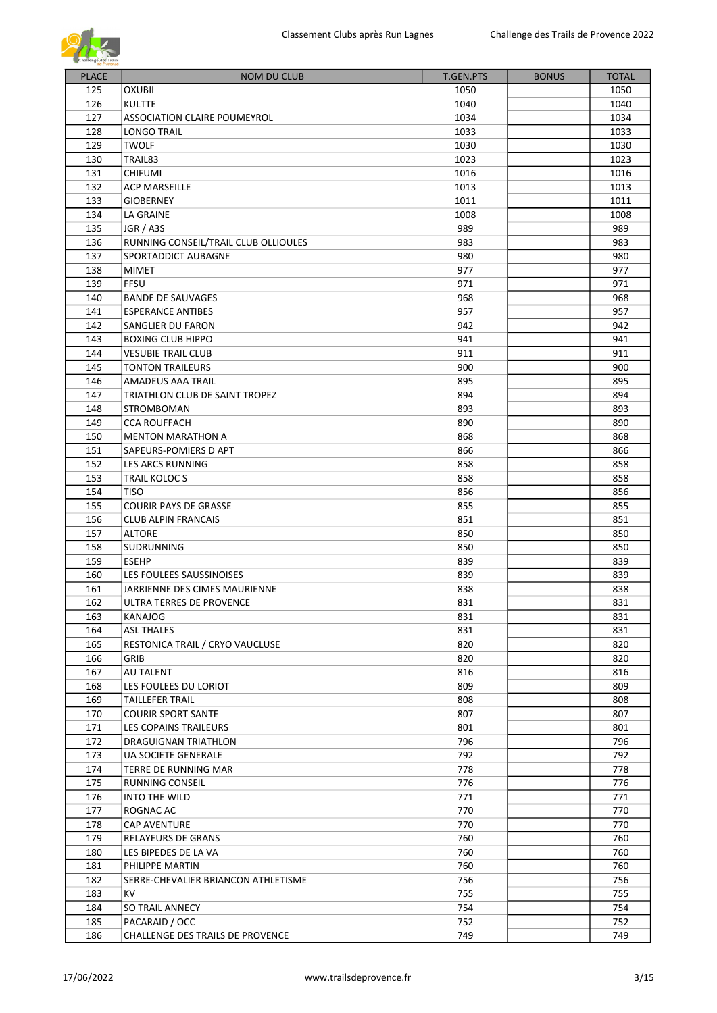

| <b>PLACE</b> | <b>NOM DU CLUB</b>                   | <b>T.GEN.PTS</b> | <b>BONUS</b> | <b>TOTAL</b> |
|--------------|--------------------------------------|------------------|--------------|--------------|
| 125          | <b>OXUBII</b>                        | 1050             |              |              |
| 126          |                                      |                  |              | 1050         |
|              | <b>KULTTE</b>                        | 1040             |              | 1040         |
| 127          | ASSOCIATION CLAIRE POUMEYROL         | 1034             |              | 1034         |
| 128          | <b>LONGO TRAIL</b>                   | 1033             |              | 1033         |
| 129          | <b>TWOLF</b>                         | 1030             |              | 1030         |
| 130          | TRAIL83                              | 1023             |              | 1023         |
| 131          | <b>CHIFUMI</b>                       | 1016             |              | 1016         |
| 132          | <b>ACP MARSEILLE</b>                 | 1013             |              | 1013         |
| 133          | <b>GIOBERNEY</b>                     | 1011             |              | 1011         |
| 134          | LA GRAINE                            | 1008             |              | 1008         |
| 135          | JGR / A3S                            | 989              |              | 989          |
| 136          | RUNNING CONSEIL/TRAIL CLUB OLLIOULES | 983              |              | 983          |
| 137          | SPORTADDICT AUBAGNE                  | 980              |              | 980          |
| 138          | <b>MIMET</b>                         | 977              |              | 977          |
| 139          | <b>FFSU</b>                          | 971              |              | 971          |
| 140          | <b>BANDE DE SAUVAGES</b>             | 968              |              | 968          |
| 141          | <b>ESPERANCE ANTIBES</b>             | 957              |              | 957          |
| 142          | SANGLIER DU FARON                    | 942              |              | 942          |
| 143          | <b>BOXING CLUB HIPPO</b>             | 941              |              | 941          |
| 144          | <b>VESUBIE TRAIL CLUB</b>            | 911              |              | 911          |
| 145          | <b>TONTON TRAILEURS</b>              | 900              |              | 900          |
| 146          | AMADEUS AAA TRAIL                    | 895              |              | 895          |
| 147          | TRIATHLON CLUB DE SAINT TROPEZ       | 894              |              | 894          |
| 148          | <b>STROMBOMAN</b>                    | 893              |              | 893          |
| 149          | <b>CCA ROUFFACH</b>                  | 890              |              | 890          |
| 150          | <b>MENTON MARATHON A</b>             | 868              |              | 868          |
| 151          | SAPEURS-POMIERS D APT                | 866              |              | 866          |
|              |                                      |                  |              |              |
| 152          | LES ARCS RUNNING                     | 858              |              | 858          |
| 153          | TRAIL KOLOC S                        | 858              |              | 858          |
| 154          | <b>TISO</b>                          | 856              |              | 856          |
| 155          | <b>COURIR PAYS DE GRASSE</b>         | 855              |              | 855          |
| 156          | <b>CLUB ALPIN FRANCAIS</b>           | 851              |              | 851          |
| 157          | <b>ALTORE</b>                        | 850              |              | 850          |
| 158          | SUDRUNNING                           | 850              |              | 850          |
| 159          | <b>ESEHP</b>                         | 839              |              | 839          |
| 160          | LES FOULEES SAUSSINOISES             | 839              |              | 839          |
| 161          | JARRIENNE DES CIMES MAURIENNE        | 838              |              | 838          |
| 162          | ULTRA TERRES DE PROVENCE             | 831              |              | 831          |
| 163          | KANAJOG                              | 831              |              | 831          |
| 164          | <b>ASL THALES</b>                    | 831              |              | 831          |
| 165          | RESTONICA TRAIL / CRYO VAUCLUSE      | 820              |              | 820          |
| 166          | <b>GRIB</b>                          | 820              |              | 820          |
| 167          | AU TALENT                            | 816              |              | 816          |
| 168          | LES FOULEES DU LORIOT                | 809              |              | 809          |
| 169          | TAILLEFER TRAIL                      | 808              |              | 808          |
| 170          | <b>COURIR SPORT SANTE</b>            | 807              |              | 807          |
| 171          | LES COPAINS TRAILEURS                | 801              |              | 801          |
| 172          | DRAGUIGNAN TRIATHLON                 | 796              |              | 796          |
| 173          | UA SOCIETE GENERALE                  | 792              |              | 792          |
| 174          | TERRE DE RUNNING MAR                 | 778              |              | 778          |
| 175          | RUNNING CONSEIL                      | 776              |              | 776          |
| 176          | INTO THE WILD                        | 771              |              | 771          |
| 177          | ROGNAC AC                            | 770              |              | 770          |
| 178          | <b>CAP AVENTURE</b>                  | 770              |              | 770          |
| 179          | RELAYEURS DE GRANS                   | 760              |              | 760          |
| 180          | LES BIPEDES DE LA VA                 | 760              |              | 760          |
| 181          | PHILIPPE MARTIN                      | 760              |              | 760          |
|              |                                      |                  |              |              |
| 182          | SERRE-CHEVALIER BRIANCON ATHLETISME  | 756              |              | 756          |
| 183          | <b>KV</b>                            | 755              |              | 755          |
| 184          | SO TRAIL ANNECY                      | 754              |              | 754          |
| 185          | PACARAID / OCC                       | 752              |              | 752          |
| 186          | CHALLENGE DES TRAILS DE PROVENCE     | 749              |              | 749          |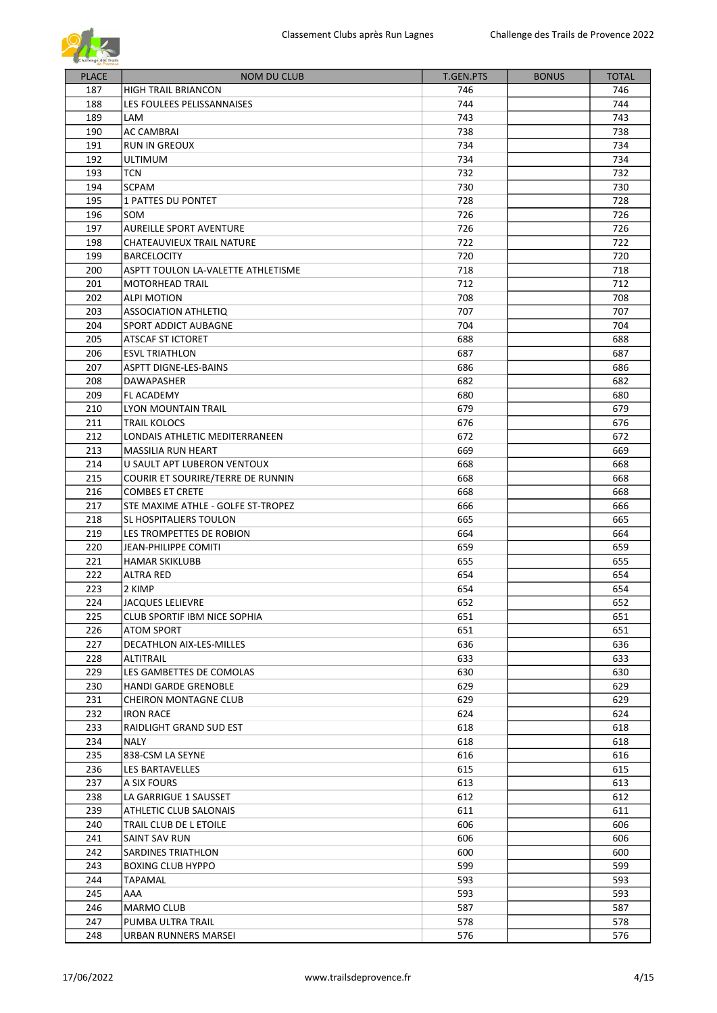

| <b>PLACE</b> | <b>NOM DU CLUB</b>                  | <b>T.GEN.PTS</b> | <b>BONUS</b> | <b>TOTAL</b> |
|--------------|-------------------------------------|------------------|--------------|--------------|
| 187          | <b>HIGH TRAIL BRIANCON</b>          | 746              |              | 746          |
| 188          | LES FOULEES PELISSANNAISES          | 744              |              | 744          |
| 189          | LAM                                 | 743              |              | 743          |
| 190          | <b>AC CAMBRAI</b>                   | 738              |              | 738          |
| 191          | <b>RUN IN GREOUX</b>                | 734              |              | 734          |
| 192          | <b>ULTIMUM</b>                      | 734              |              | 734          |
| 193          | <b>TCN</b>                          | 732              |              | 732          |
| 194          | <b>SCPAM</b>                        | 730              |              | 730          |
| 195          | <b>1 PATTES DU PONTET</b>           | 728              |              | 728          |
| 196          | SOM                                 | 726              |              | 726          |
| 197          | <b>AUREILLE SPORT AVENTURE</b>      | 726              |              | 726          |
| 198          | CHATEAUVIEUX TRAIL NATURE           | 722              |              | 722          |
| 199          | <b>BARCELOCITY</b>                  | 720              |              | 720          |
| 200          | ASPTT TOULON LA-VALETTE ATHLETISME  | 718              |              | 718          |
| 201          | <b>MOTORHEAD TRAIL</b>              | 712              |              | 712          |
| 202          | <b>ALPI MOTION</b>                  | 708              |              | 708          |
| 203          | ASSOCIATION ATHLETIQ                | 707              |              | 707          |
| 204          | SPORT ADDICT AUBAGNE                | 704              |              | 704          |
| 205          | ATSCAF ST ICTORET                   | 688              |              | 688          |
| 206          | <b>ESVL TRIATHLON</b>               | 687              |              | 687          |
| 207          | <b>ASPTT DIGNE-LES-BAINS</b>        | 686              |              | 686          |
| 208          | <b>DAWAPASHER</b>                   | 682              |              | 682          |
| 209          |                                     |                  |              |              |
| 210          | FL ACADEMY                          | 680              |              | 680          |
|              | LYON MOUNTAIN TRAIL                 | 679              |              | 679          |
| 211          | <b>TRAIL KOLOCS</b>                 | 676              |              | 676          |
| 212          | LONDAIS ATHLETIC MEDITERRANEEN      | 672              |              | 672          |
| 213          | <b>MASSILIA RUN HEART</b>           | 669              |              | 669          |
| 214          | U SAULT APT LUBERON VENTOUX         | 668              |              | 668          |
| 215          | COURIR ET SOURIRE/TERRE DE RUNNIN   | 668              |              | 668          |
| 216          | <b>COMBES ET CRETE</b>              | 668              |              | 668          |
| 217          | STE MAXIME ATHLE - GOLFE ST-TROPEZ  | 666              |              | 666          |
| 218          | SL HOSPITALIERS TOULON              | 665              |              | 665          |
| 219          | LES TROMPETTES DE ROBION            | 664              |              | 664          |
| 220          | <b>JEAN-PHILIPPE COMITI</b>         | 659              |              | 659          |
| 221          | <b>HAMAR SKIKLUBB</b>               | 655              |              | 655          |
| 222          | <b>ALTRA RED</b>                    | 654              |              | 654          |
| 223          | 2 KIMP                              | 654              |              | 654          |
| 224          | <b>JACQUES LELIEVRE</b>             | 652              |              | 652          |
| 225          | <b>CLUB SPORTIF IBM NICE SOPHIA</b> | 651              |              | 651          |
| 226          | ATOM SPORT                          | 651              |              | 651          |
| 227          | DECATHLON AIX-LES-MILLES            | 636              |              | 636          |
| 228          | ALTITRAIL                           | 633              |              | 633          |
| 229          | LES GAMBETTES DE COMOLAS            | 630              |              | 630          |
| 230          | <b>HANDI GARDE GRENOBLE</b>         | 629              |              | 629          |
| 231          | CHEIRON MONTAGNE CLUB               | 629              |              | 629          |
| 232          | <b>IRON RACE</b>                    | 624              |              | 624          |
| 233          | RAIDLIGHT GRAND SUD EST             | 618              |              | 618          |
| 234          | NALY                                | 618              |              | 618          |
| 235          | 838-CSM LA SEYNE                    | 616              |              | 616          |
| 236          | LES BARTAVELLES                     | 615              |              | 615          |
| 237          | A SIX FOURS                         | 613              |              | 613          |
| 238          | LA GARRIGUE 1 SAUSSET               | 612              |              | 612          |
| 239          | ATHLETIC CLUB SALONAIS              | 611              |              | 611          |
| 240          | TRAIL CLUB DE L ETOILE              | 606              |              | 606          |
| 241          | SAINT SAV RUN                       | 606              |              | 606          |
| 242          | SARDINES TRIATHLON                  | 600              |              | 600          |
| 243          | <b>BOXING CLUB HYPPO</b>            | 599              |              | 599          |
| 244          | TAPAMAL                             | 593              |              | 593          |
| 245          | AAA                                 | 593              |              | 593          |
| 246          | MARMO CLUB                          | 587              |              | 587          |
| 247          | PUMBA ULTRA TRAIL                   | 578              |              | 578          |
| 248          | URBAN RUNNERS MARSEI                | 576              |              | 576          |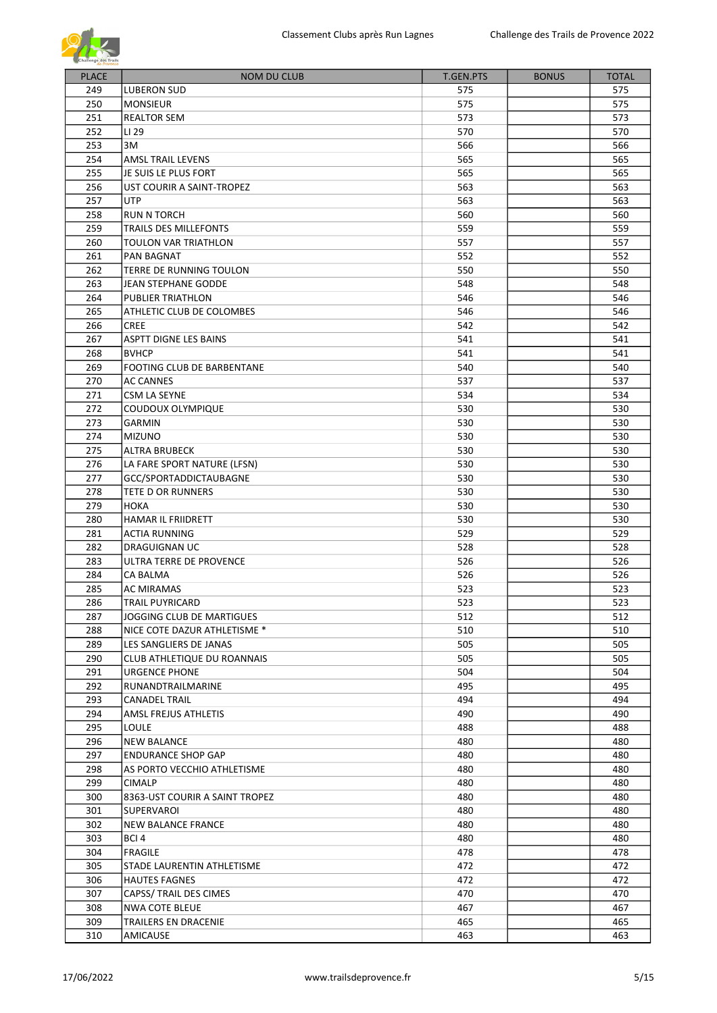

| <b>PLACE</b> | <b>NOM DU CLUB</b>             | T.GEN.PTS | <b>BONUS</b> | <b>TOTAL</b> |
|--------------|--------------------------------|-----------|--------------|--------------|
|              |                                |           |              |              |
| 249          | <b>LUBERON SUD</b>             | 575       |              | 575          |
| 250          | <b>MONSIEUR</b>                | 575       |              | 575          |
| 251          | <b>REALTOR SEM</b>             | 573       |              | 573          |
| 252          | LI 29                          | 570       |              | 570          |
| 253          | 3M                             | 566       |              | 566          |
| 254          | AMSL TRAIL LEVENS              | 565       |              | 565          |
| 255          | JE SUIS LE PLUS FORT           | 565       |              | 565          |
| 256          | UST COURIR A SAINT-TROPEZ      | 563       |              | 563          |
| 257          | <b>UTP</b>                     | 563       |              | 563          |
| 258          | <b>RUN N TORCH</b>             | 560       |              | 560          |
| 259          | TRAILS DES MILLEFONTS          | 559       |              | 559          |
| 260          | TOULON VAR TRIATHLON           | 557       |              | 557          |
| 261          | PAN BAGNAT                     | 552       |              | 552          |
| 262          | TERRE DE RUNNING TOULON        | 550       |              | 550          |
| 263          | <b>JEAN STEPHANE GODDE</b>     | 548       |              | 548          |
| 264          | PUBLIER TRIATHLON              | 546       |              | 546          |
| 265          | ATHLETIC CLUB DE COLOMBES      | 546       |              | 546          |
| 266          | <b>CREE</b>                    | 542       |              | 542          |
| 267          | <b>ASPTT DIGNE LES BAINS</b>   | 541       |              | 541          |
| 268          | <b>BVHCP</b>                   | 541       |              | 541          |
| 269          | FOOTING CLUB DE BARBENTANE     | 540       |              | 540          |
| 270          | <b>AC CANNES</b>               | 537       |              | 537          |
| 271          | CSM LA SEYNE                   | 534       |              | 534          |
| 272          | COUDOUX OLYMPIQUE              | 530       |              | 530          |
| 273          | GARMIN                         | 530       |              | 530          |
| 274          | <b>MIZUNO</b>                  | 530       |              | 530          |
| 275          | <b>ALTRA BRUBECK</b>           | 530       |              | 530          |
| 276          | LA FARE SPORT NATURE (LFSN)    | 530       |              | 530          |
| 277          | GCC/SPORTADDICTAUBAGNE         | 530       |              | 530          |
| 278          | <b>TETE D OR RUNNERS</b>       | 530       |              | 530          |
| 279          | HOKA                           | 530       |              | 530          |
| 280          | <b>HAMAR IL FRIIDRETT</b>      | 530       |              | 530          |
| 281          | <b>ACTIA RUNNING</b>           | 529       |              | 529          |
| 282          | <b>DRAGUIGNAN UC</b>           | 528       |              | 528          |
| 283          | ULTRA TERRE DE PROVENCE        | 526       |              | 526          |
| 284          | CA BALMA                       | 526       |              | 526          |
| 285          | <b>AC MIRAMAS</b>              | 523       |              | 523          |
| 286          | TRAIL PUYRICARD                | 523       |              | 523          |
| 287          | JOGGING CLUB DE MARTIGUES      | 512       |              | 512          |
| 288          | NICE COTE DAZUR ATHLETISME *   | 510       |              | 510          |
| 289          | LES SANGLIERS DE JANAS         | 505       |              | 505          |
| 290          | CLUB ATHLETIQUE DU ROANNAIS    | 505       |              | 505          |
| 291          | <b>URGENCE PHONE</b>           | 504       |              | 504          |
| 292          | RUNANDTRAILMARINE              | 495       |              | 495          |
| 293          | <b>CANADEL TRAIL</b>           | 494       |              | 494          |
| 294          | AMSL FREJUS ATHLETIS           | 490       |              | 490          |
| 295          | LOULE                          | 488       |              | 488          |
| 296          | <b>NEW BALANCE</b>             | 480       |              | 480          |
| 297          | <b>ENDURANCE SHOP GAP</b>      | 480       |              | 480          |
| 298          | AS PORTO VECCHIO ATHLETISME    | 480       |              | 480          |
| 299          | <b>CIMALP</b>                  | 480       |              | 480          |
| 300          | 8363-UST COURIR A SAINT TROPEZ | 480       |              | 480          |
| 301          | SUPERVAROI                     | 480       |              | 480          |
| 302          | NEW BALANCE FRANCE             | 480       |              | 480          |
| 303          | BCI 4                          | 480       |              | 480          |
| 304          | <b>FRAGILE</b>                 | 478       |              | 478          |
| 305          | STADE LAURENTIN ATHLETISME     | 472       |              | 472          |
| 306          | <b>HAUTES FAGNES</b>           | 472       |              | 472          |
| 307          | CAPSS/ TRAIL DES CIMES         | 470       |              | 470          |
| 308          | <b>NWA COTE BLEUE</b>          | 467       |              | 467          |
| 309          | TRAILERS EN DRACENIE           | 465       |              | 465          |
| 310          | AMICAUSE                       | 463       |              | 463          |
|              |                                |           |              |              |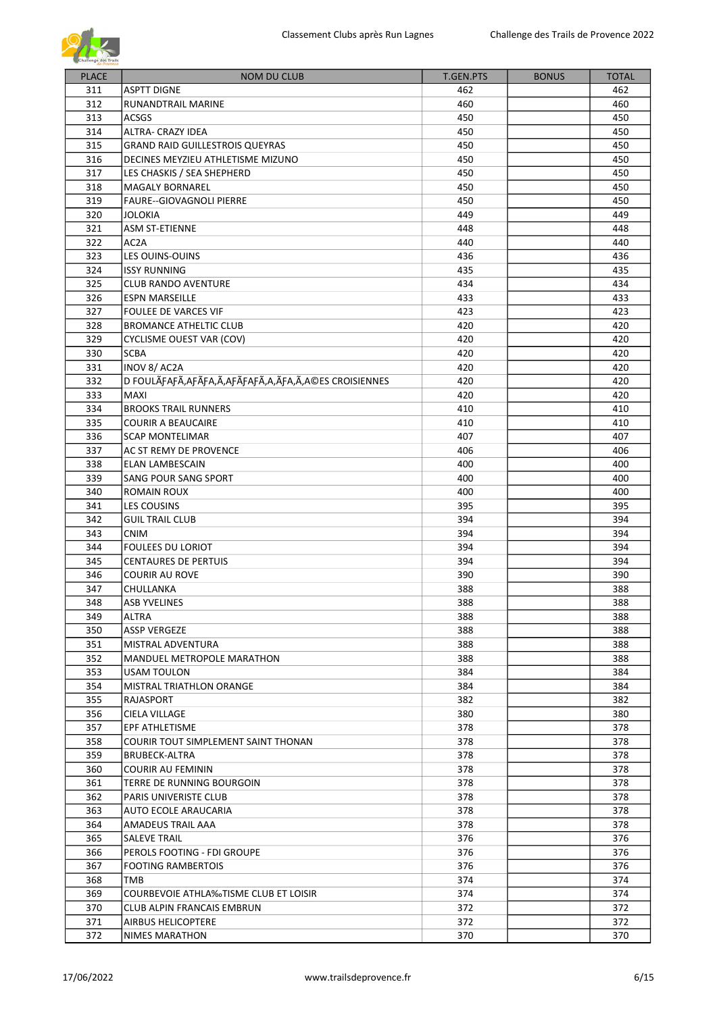

| <b>PLACE</b> | <b>NOM DU CLUB</b>                                          | <b>T.GEN.PTS</b> | <b>BONUS</b> | <b>TOTAL</b> |
|--------------|-------------------------------------------------------------|------------------|--------------|--------------|
| 311          | <b>ASPTT DIGNE</b>                                          | 462              |              | 462          |
| 312          | RUNANDTRAIL MARINE                                          | 460              |              | 460          |
|              |                                                             |                  |              |              |
| 313          | <b>ACSGS</b>                                                | 450              |              | 450          |
| 314          | ALTRA- CRAZY IDEA                                           | 450              |              | 450          |
| 315          | <b>GRAND RAID GUILLESTROIS QUEYRAS</b>                      | 450              |              | 450          |
| 316          | DECINES MEYZIEU ATHLETISME MIZUNO                           | 450              |              | 450          |
| 317          | LES CHASKIS / SEA SHEPHERD                                  | 450              |              | 450          |
| 318          | <b>MAGALY BORNAREL</b>                                      | 450              |              | 450          |
| 319          | <b>FAURE--GIOVAGNOLI PIERRE</b>                             | 450              |              | 450          |
| 320          | JOLOKIA                                                     | 449              |              | 449          |
| 321          | <b>ASM ST-ETIENNE</b>                                       | 448              |              | 448          |
| 322          | AC <sub>2</sub> A                                           | 440              |              | 440          |
| 323          | LES OUINS-OUINS                                             | 436              |              | 436          |
| 324          | <b>ISSY RUNNING</b>                                         | 435              |              | 435          |
| 325          | <b>CLUB RANDO AVENTURE</b>                                  | 434              |              | 434          |
| 326          | <b>ESPN MARSEILLE</b>                                       | 433              |              | 433          |
| 327          | <b>FOULEE DE VARCES VIF</b>                                 | 423              |              | 423          |
| 328          | <b>BROMANCE ATHELTIC CLUB</b>                               | 420              |              | 420          |
| 329          | CYCLISME OUEST VAR (COV)                                    | 420              |              | 420          |
| 330          | <b>SCBA</b>                                                 | 420              |              | 420          |
| 331          | INOV 8/ AC2A                                                | 420              |              | 420          |
| 332          | D FOULÃFAFÃ, AFÃFA, Ã, AFÃFAFÃ, A, ÃFA, Ã, A©ES CROISIENNES | 420              |              | 420          |
| 333          | <b>MAXI</b>                                                 | 420              |              | 420          |
| 334          | <b>BROOKS TRAIL RUNNERS</b>                                 | 410              |              | 410          |
| 335          | <b>COURIR A BEAUCAIRE</b>                                   | 410              |              | 410          |
| 336          | <b>SCAP MONTELIMAR</b>                                      | 407              |              | 407          |
| 337          |                                                             | 406              |              | 406          |
|              | AC ST REMY DE PROVENCE                                      |                  |              |              |
| 338          | ELAN LAMBESCAIN                                             | 400              |              | 400          |
| 339          | SANG POUR SANG SPORT                                        | 400              |              | 400          |
| 340          | ROMAIN ROUX                                                 | 400              |              | 400          |
| 341          | <b>LES COUSINS</b>                                          | 395              |              | 395          |
| 342          | <b>GUIL TRAIL CLUB</b>                                      | 394              |              | 394          |
| 343          | <b>CNIM</b>                                                 | 394              |              | 394          |
| 344          | <b>FOULEES DU LORIOT</b>                                    | 394              |              | 394          |
| 345          | <b>CENTAURES DE PERTUIS</b>                                 | 394              |              | 394          |
| 346          | <b>COURIR AU ROVE</b>                                       | 390              |              | 390          |
| 347          | CHULLANKA                                                   | 388              |              | 388          |
| 348          | <b>ASB YVELINES</b>                                         | 388              |              | 388          |
| 349          | ALTRA                                                       | 388              |              | 388          |
| 350          | <b>ASSP VERGEZE</b>                                         | 388              |              | 388          |
| 351          | MISTRAL ADVENTURA                                           | 388              |              | 388          |
| 352          | <b>MANDUEL METROPOLE MARATHON</b>                           | 388              |              | 388          |
| 353          | USAM TOULON                                                 | 384              |              | 384          |
| 354          | MISTRAL TRIATHLON ORANGE                                    | 384              |              | 384          |
| 355          | RAJASPORT                                                   | 382              |              | 382          |
| 356          | CIELA VILLAGE                                               | 380              |              | 380          |
| 357          | EPF ATHLETISME                                              | 378              |              | 378          |
| 358          | COURIR TOUT SIMPLEMENT SAINT THONAN                         | 378              |              | 378          |
| 359          | BRUBECK-ALTRA                                               | 378              |              | 378          |
| 360          | <b>COURIR AU FEMININ</b>                                    | 378              |              | 378          |
| 361          | TERRE DE RUNNING BOURGOIN                                   | 378              |              | 378          |
| 362          |                                                             |                  |              |              |
|              | PARIS UNIVERISTE CLUB                                       | 378              |              | 378          |
| 363          | AUTO ECOLE ARAUCARIA                                        | 378              |              | 378          |
| 364          | AMADEUS TRAIL AAA                                           | 378              |              | 378          |
| 365          | SALEVE TRAIL                                                | 376              |              | 376          |
| 366          | PEROLS FOOTING - FDI GROUPE                                 | 376              |              | 376          |
| 367          | <b>FOOTING RAMBERTOIS</b>                                   | 376              |              | 376          |
| 368          | TMB                                                         | 374              |              | 374          |
| 369          | COURBEVOIE ATHLA‰TISME CLUB ET LOISIR                       | 374              |              | 374          |
| 370          | <b>CLUB ALPIN FRANCAIS EMBRUN</b>                           | 372              |              | 372          |
| 371          | AIRBUS HELICOPTERE                                          | 372              |              | 372          |
| 372          | NIMES MARATHON                                              | 370              |              | 370          |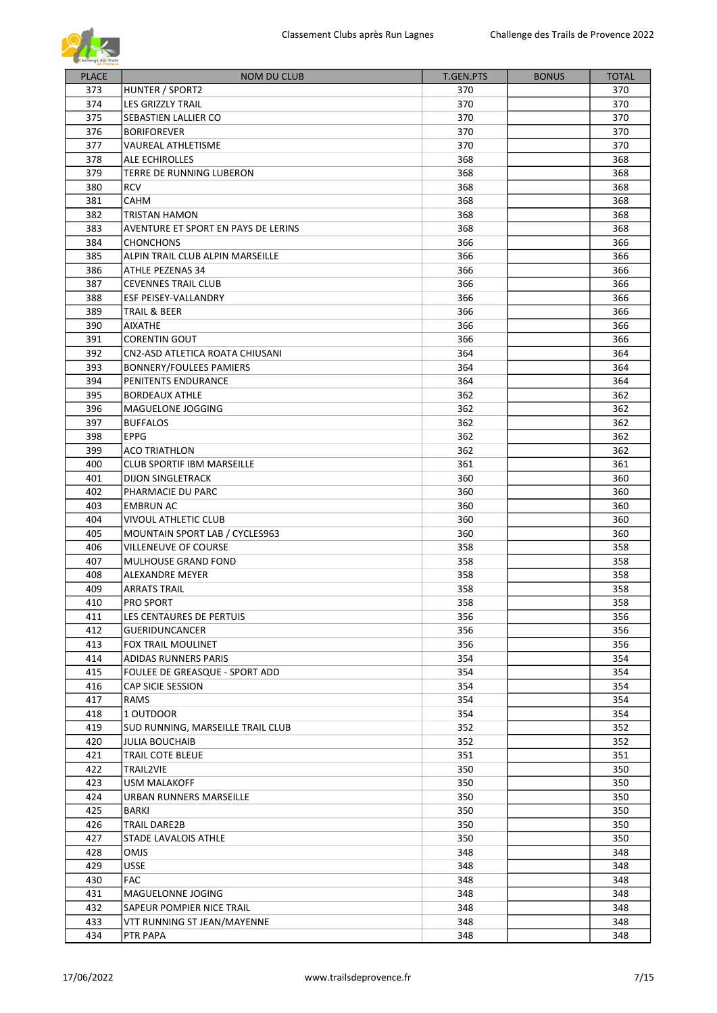

| <b>PLACE</b> | <b>NOM DU CLUB</b>                            | T.GEN.PTS  | <b>BONUS</b> | <b>TOTAL</b> |
|--------------|-----------------------------------------------|------------|--------------|--------------|
| 373          | HUNTER / SPORT2                               | 370        |              | 370          |
| 374          | LES GRIZZLY TRAIL                             | 370        |              | 370          |
| 375          | SEBASTIEN LALLIER CO                          | 370        |              | 370          |
| 376          | <b>BORIFOREVER</b>                            | 370        |              | 370          |
| 377          | VAUREAL ATHLETISME                            | 370        |              | 370          |
| 378          | ALE ECHIROLLES                                | 368        |              | 368          |
| 379          | TERRE DE RUNNING LUBERON                      | 368        |              | 368          |
| 380          | <b>RCV</b>                                    | 368        |              | 368          |
| 381          | <b>CAHM</b>                                   | 368        |              | 368          |
| 382          | TRISTAN HAMON                                 | 368        |              | 368          |
| 383          | AVENTURE ET SPORT EN PAYS DE LERINS           | 368        |              | 368          |
| 384          | <b>CHONCHONS</b>                              | 366        |              | 366          |
| 385          | ALPIN TRAIL CLUB ALPIN MARSEILLE              | 366        |              | 366          |
| 386          | ATHLE PEZENAS 34                              | 366        |              | 366          |
| 387          | <b>CEVENNES TRAIL CLUB</b>                    | 366        |              | 366          |
| 388          | ESF PEISEY-VALLANDRY                          | 366        |              | 366          |
| 389          | TRAIL & BEER                                  | 366        |              | 366          |
| 390          | <b>AIXATHE</b>                                | 366        |              | 366          |
| 391          | CORENTIN GOUT                                 | 366        |              | 366          |
| 392          | CN2-ASD ATLETICA ROATA CHIUSANI               | 364        |              | 364          |
| 393          | <b>BONNERY/FOULEES PAMIERS</b>                | 364        |              | 364          |
| 394          | PENITENTS ENDURANCE                           | 364        |              | 364          |
| 395          | <b>BORDEAUX ATHLE</b>                         | 362        |              | 362          |
| 396          | MAGUELONE JOGGING                             | 362        |              | 362          |
| 397          | <b>BUFFALOS</b>                               | 362        |              | 362          |
| 398          | <b>EPPG</b>                                   | 362        |              |              |
| 399          | <b>ACO TRIATHLON</b>                          | 362        |              | 362<br>362   |
| 400          | <b>CLUB SPORTIF IBM MARSEILLE</b>             | 361        |              | 361          |
| 401          |                                               |            |              |              |
|              | <b>DIJON SINGLETRACK</b>                      | 360        |              | 360          |
| 402          | PHARMACIE DU PARC                             | 360        |              | 360          |
| 403          | <b>EMBRUN AC</b>                              | 360        |              | 360          |
| 404<br>405   | VIVOUL ATHLETIC CLUB                          | 360        |              | 360          |
|              | MOUNTAIN SPORT LAB / CYCLES963                | 360        |              | 360          |
| 406<br>407   | <b>VILLENEUVE OF COURSE</b>                   | 358        |              | 358          |
| 408          | <b>MULHOUSE GRAND FOND</b><br>ALEXANDRE MEYER | 358        |              | 358          |
| 409          |                                               | 358<br>358 |              | 358<br>358   |
| 410          | <b>ARRATS TRAIL</b><br><b>PRO SPORT</b>       | 358        |              | 358          |
| 411          |                                               |            |              | 356          |
| 412          | LES CENTAURES DE PERTUIS                      | 356<br>356 |              |              |
|              | <b>GUERIDUNCANCER</b>                         |            |              | 356          |
| 413<br>414   | FOX TRAIL MOULINET                            | 356        |              | 356          |
|              | ADIDAS RUNNERS PARIS                          | 354        |              | 354          |
| 415          | FOULEE DE GREASQUE - SPORT ADD                | 354        |              | 354          |
| 416          | CAP SICIE SESSION                             | 354        |              | 354          |
| 417          | <b>RAMS</b>                                   | 354        |              | 354          |
| 418          | 1 OUTDOOR                                     | 354        |              | 354          |
| 419          | SUD RUNNING, MARSEILLE TRAIL CLUB             | 352        |              | 352          |
| 420          | <b>JULIA BOUCHAIB</b>                         | 352        |              | 352          |
| 421          | TRAIL COTE BLEUE                              | 351        |              | 351          |
| 422          | TRAIL2VIE                                     | 350        |              | 350          |
| 423          | USM MALAKOFF                                  | 350        |              | 350          |
| 424          | URBAN RUNNERS MARSEILLE                       | 350        |              | 350          |
| 425          | BARKI                                         | 350        |              | 350          |
| 426          | TRAIL DARE2B                                  | 350        |              | 350          |
| 427          | STADE LAVALOIS ATHLE                          | 350        |              | 350          |
| 428          | OMJS                                          | 348        |              | 348          |
| 429          | USSE                                          | 348        |              | 348          |
| 430          | FAC                                           | 348        |              | 348          |
| 431          | MAGUELONNE JOGING                             | 348        |              | 348          |
| 432          | SAPEUR POMPIER NICE TRAIL                     | 348        |              | 348          |
| 433          | VTT RUNNING ST JEAN/MAYENNE                   | 348        |              | 348          |
| 434          | PTR PAPA                                      | 348        |              | 348          |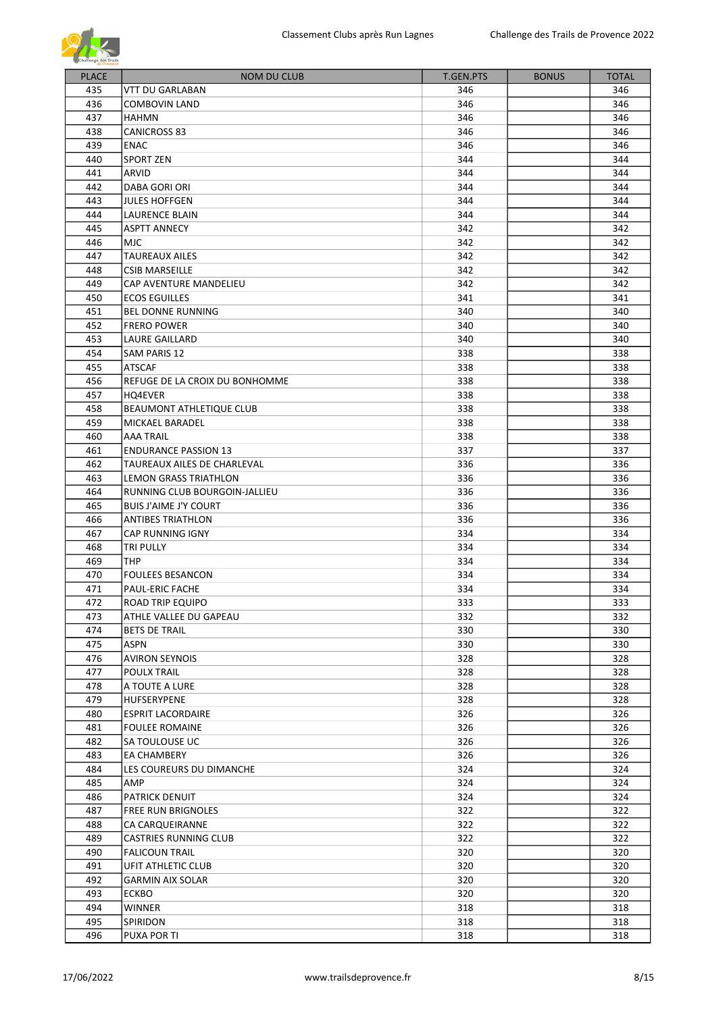

| <b>PLACE</b> | <b>NOM DU CLUB</b>             | <b>T.GEN.PTS</b> | <b>BONUS</b> | <b>TOTAL</b> |
|--------------|--------------------------------|------------------|--------------|--------------|
| 435          | VTT DU GARLABAN                | 346              |              | 346          |
| 436          |                                | 346              |              | 346          |
|              | COMBOVIN LAND                  |                  |              |              |
| 437          | <b>HAHMN</b>                   | 346              |              | 346          |
| 438          | <b>CANICROSS 83</b>            | 346              |              | 346          |
| 439          | <b>ENAC</b>                    | 346              |              | 346          |
| 440          | <b>SPORT ZEN</b>               | 344              |              | 344          |
| 441          | ARVID                          | 344              |              | 344          |
| 442          | DABA GORI ORI                  | 344              |              | 344          |
| 443          | <b>JULES HOFFGEN</b>           | 344              |              | 344          |
| 444          | LAURENCE BLAIN                 | 344              |              | 344          |
| 445          | <b>ASPTT ANNECY</b>            | 342              |              | 342          |
| 446          | MJC                            | 342              |              | 342          |
| 447          | <b>TAUREAUX AILES</b>          | 342              |              | 342          |
| 448          | <b>CSIB MARSEILLE</b>          | 342              |              | 342          |
| 449          | CAP AVENTURE MANDELIEU         | 342              |              | 342          |
| 450          | <b>ECOS EGUILLES</b>           | 341              |              | 341          |
| 451          | <b>BEL DONNE RUNNING</b>       | 340              |              | 340          |
| 452          | <b>FRERO POWER</b>             | 340              |              | 340          |
| 453          | <b>LAURE GAILLARD</b>          | 340              |              | 340          |
| 454          | SAM PARIS 12                   | 338              |              | 338          |
| 455          | <b>ATSCAF</b>                  | 338              |              | 338          |
| 456          |                                |                  |              |              |
|              | REFUGE DE LA CROIX DU BONHOMME | 338              |              | 338          |
| 457          | HQ4EVER                        | 338              |              | 338          |
| 458          | BEAUMONT ATHLETIQUE CLUB       | 338              |              | 338          |
| 459          | MICKAEL BARADEL                | 338              |              | 338          |
| 460          | AAA TRAIL                      | 338              |              | 338          |
| 461          | <b>ENDURANCE PASSION 13</b>    | 337              |              | 337          |
| 462          | TAUREAUX AILES DE CHARLEVAL    | 336              |              | 336          |
| 463          | LEMON GRASS TRIATHLON          | 336              |              | 336          |
| 464          | RUNNING CLUB BOURGOIN-JALLIEU  | 336              |              | 336          |
| 465          | <b>BUIS J'AIME J'Y COURT</b>   | 336              |              | 336          |
| 466          | <b>ANTIBES TRIATHLON</b>       | 336              |              | 336          |
| 467          | CAP RUNNING IGNY               | 334              |              | 334          |
| 468          | TRI PULLY                      | 334              |              | 334          |
| 469          | <b>THP</b>                     | 334              |              | 334          |
| 470          | <b>FOULEES BESANCON</b>        | 334              |              | 334          |
| 471          | <b>PAUL-ERIC FACHE</b>         | 334              |              | 334          |
| 472          | ROAD TRIP EQUIPO               | 333              |              | 333          |
| 473          | ATHLE VALLEE DU GAPEAU         | 332              |              | 332          |
| 474          | <b>BETS DE TRAIL</b>           | 330              |              | 330          |
| 475          | ASPN                           | 330              |              | 330          |
| 476          | <b>AVIRON SEYNOIS</b>          | 328              |              | 328          |
| 477          |                                | 328              |              |              |
|              | POULX TRAIL                    |                  |              | 328          |
| 478          | A TOUTE A LURE                 | 328              |              | 328          |
| 479          | HUFSERYPENE                    | 328              |              | 328          |
| 480          | <b>ESPRIT LACORDAIRE</b>       | 326              |              | 326          |
| 481          | <b>FOULEE ROMAINE</b>          | 326              |              | 326          |
| 482          | SA TOULOUSE UC                 | 326              |              | 326          |
| 483          | <b>EA CHAMBERY</b>             | 326              |              | 326          |
| 484          | LES COUREURS DU DIMANCHE       | 324              |              | 324          |
| 485          | AMP                            | 324              |              | 324          |
| 486          | PATRICK DENUIT                 | 324              |              | 324          |
| 487          | <b>FREE RUN BRIGNOLES</b>      | 322              |              | 322          |
| 488          | CA CARQUEIRANNE                | 322              |              | 322          |
| 489          | <b>CASTRIES RUNNING CLUB</b>   | 322              |              | 322          |
| 490          | <b>FALICOUN TRAIL</b>          | 320              |              | 320          |
| 491          | UFIT ATHLETIC CLUB             | 320              |              | 320          |
| 492          | <b>GARMIN AIX SOLAR</b>        | 320              |              | 320          |
| 493          | ECKBO                          | 320              |              | 320          |
| 494          | WINNER                         | 318              |              | 318          |
| 495          | SPIRIDON                       | 318              |              | 318          |
| 496          | <b>PUXA POR TI</b>             | 318              |              | 318          |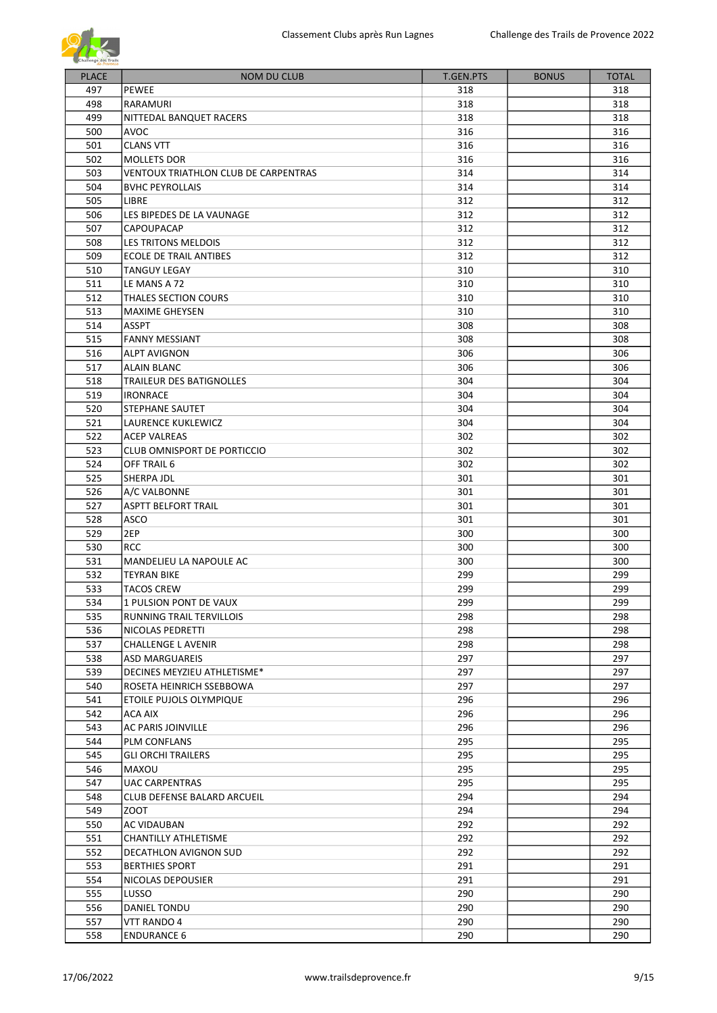

| <b>PLACE</b> | <b>NOM DU CLUB</b>                   | T.GEN.PTS | <b>BONUS</b> | <b>TOTAL</b> |
|--------------|--------------------------------------|-----------|--------------|--------------|
| 497          | <b>PEWEE</b>                         | 318       |              | 318          |
| 498          | RARAMURI                             | 318       |              | 318          |
| 499          | NITTEDAL BANQUET RACERS              | 318       |              | 318          |
| 500          | <b>AVOC</b>                          | 316       |              | 316          |
| 501          | <b>CLANS VTT</b>                     | 316       |              | 316          |
| 502          | <b>MOLLETS DOR</b>                   | 316       |              | 316          |
| 503          | VENTOUX TRIATHLON CLUB DE CARPENTRAS | 314       |              | 314          |
| 504          | <b>BVHC PEYROLLAIS</b>               | 314       |              | 314          |
| 505          | <b>LIBRE</b>                         | 312       |              | 312          |
| 506          | LES BIPEDES DE LA VAUNAGE            | 312       |              | 312          |
| 507          | CAPOUPACAP                           | 312       |              | 312          |
| 508          | LES TRITONS MELDOIS                  | 312       |              | 312          |
| 509          | ECOLE DE TRAIL ANTIBES               | 312       |              | 312          |
| 510          | <b>TANGUY LEGAY</b>                  | 310       |              | 310          |
| 511          | LE MANS A 72                         | 310       |              | 310          |
| 512          | THALES SECTION COURS                 | 310       |              | 310          |
| 513          | <b>MAXIME GHEYSEN</b>                | 310       |              | 310          |
| 514          | <b>ASSPT</b>                         | 308       |              | 308          |
| 515          | <b>FANNY MESSIANT</b>                | 308       |              | 308          |
| 516          | <b>ALPT AVIGNON</b>                  | 306       |              | 306          |
| 517          | <b>ALAIN BLANC</b>                   | 306       |              | 306          |
| 518          | <b>TRAILEUR DES BATIGNOLLES</b>      | 304       |              | 304          |
| 519          | <b>IRONRACE</b>                      | 304       |              | 304          |
| 520          | <b>STEPHANE SAUTET</b>               | 304       |              | 304          |
| 521          | LAURENCE KUKLEWICZ                   | 304       |              | 304          |
| 522          | <b>ACEP VALREAS</b>                  | 302       |              | 302          |
| 523          | CLUB OMNISPORT DE PORTICCIO          | 302       |              | 302          |
| 524          |                                      |           |              |              |
|              | OFF TRAIL 6                          | 302       |              | 302          |
| 525          | SHERPA JDL                           | 301       |              | 301          |
| 526          | A/C VALBONNE                         | 301       |              | 301          |
| 527          | <b>ASPTT BELFORT TRAIL</b>           | 301       |              | 301          |
| 528          | ASCO                                 | 301       |              | 301          |
| 529          | 2EP                                  | 300       |              | 300          |
| 530          | <b>RCC</b>                           | 300       |              | 300          |
| 531          | MANDELIEU LA NAPOULE AC              | 300       |              | 300          |
| 532          | TEYRAN BIKE                          | 299       |              | 299          |
| 533          | <b>TACOS CREW</b>                    | 299       |              | 299          |
| 534          | 1 PULSION PONT DE VAUX               | 299       |              | 299          |
| 535          | RUNNING TRAIL TERVILLOIS             | 298       |              | 298          |
| 536          | NICOLAS PEDRETTI                     | 298       |              | 298          |
| 537          | CHALLENGE L AVENIR                   | 298       |              | 298          |
| 538          | ASD MARGUAREIS                       | 297       |              | 297          |
| 539          | DECINES MEYZIEU ATHLETISME*          | 297       |              | 297          |
| 540          | ROSETA HEINRICH SSEBBOWA             | 297       |              | 297          |
| 541          | ETOILE PUJOLS OLYMPIQUE              | 296       |              | 296          |
| 542          | ACA AIX                              | 296       |              | 296          |
| 543          | AC PARIS JOINVILLE                   | 296       |              | 296          |
| 544          | PLM CONFLANS                         | 295       |              | 295          |
| 545          | <b>GLI ORCHI TRAILERS</b>            | 295       |              | 295          |
| 546          | MAXOU                                | 295       |              | 295          |
| 547          | <b>UAC CARPENTRAS</b>                | 295       |              | 295          |
| 548          | <b>CLUB DEFENSE BALARD ARCUEIL</b>   | 294       |              | 294          |
| 549          | <b>ZOOT</b>                          | 294       |              | 294          |
| 550          | AC VIDAUBAN                          | 292       |              | 292          |
| 551          |                                      |           |              |              |
|              | CHANTILLY ATHLETISME                 | 292       |              | 292          |
| 552          | DECATHLON AVIGNON SUD                | 292       |              | 292          |
| 553          | <b>BERTHIES SPORT</b>                | 291       |              | 291          |
| 554          | NICOLAS DEPOUSIER                    | 291       |              | 291          |
| 555          | LUSSO                                | 290       |              | 290          |
| 556          | DANIEL TONDU                         | 290       |              | 290          |
| 557          | VTT RANDO 4                          | 290       |              | 290          |
| 558          | <b>ENDURANCE 6</b>                   | 290       |              | 290          |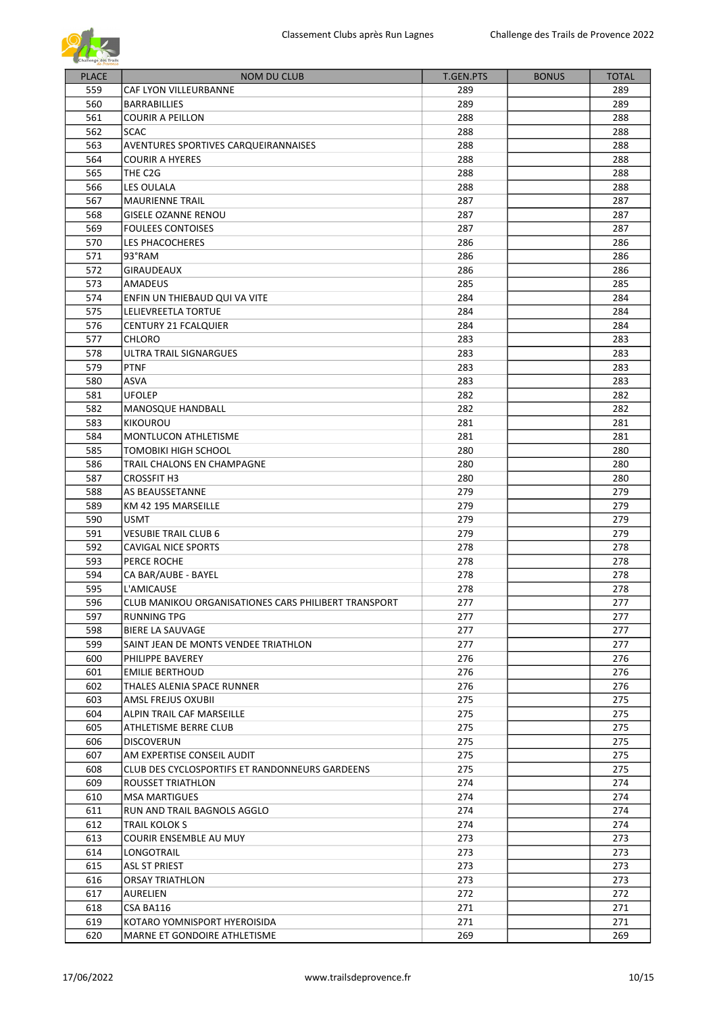

| <b>PLACE</b> | <b>NOM DU CLUB</b>                                   | <b>T.GEN.PTS</b> | <b>BONUS</b> | <b>TOTAL</b> |
|--------------|------------------------------------------------------|------------------|--------------|--------------|
| 559          | CAF LYON VILLEURBANNE                                | 289              |              | 289          |
| 560          | <b>BARRABILLIES</b>                                  | 289              |              | 289          |
| 561          | <b>COURIR A PEILLON</b>                              | 288              |              | 288          |
| 562          |                                                      |                  |              |              |
| 563          | <b>SCAC</b>                                          | 288              |              | 288          |
|              | AVENTURES SPORTIVES CARQUEIRANNAISES                 | 288              |              | 288          |
| 564          | <b>COURIR A HYERES</b>                               | 288              |              | 288          |
| 565          | THE C2G                                              | 288              |              | 288          |
| 566          | LES OULALA                                           | 288              |              | 288          |
| 567          | <b>MAURIENNE TRAIL</b>                               | 287              |              | 287          |
| 568          | <b>GISELE OZANNE RENOU</b>                           | 287              |              | 287          |
| 569          | <b>FOULEES CONTOISES</b>                             | 287              |              | 287          |
| 570          | LES PHACOCHERES                                      | 286              |              | 286          |
| 571          | 93°RAM                                               | 286              |              | 286          |
| 572          | GIRAUDEAUX                                           | 286              |              | 286          |
| 573          | <b>AMADEUS</b>                                       | 285              |              | 285          |
| 574          | ENFIN UN THIEBAUD QUI VA VITE                        | 284              |              | 284          |
| 575          | LELIEVREETLA TORTUE                                  | 284              |              | 284          |
| 576          | <b>CENTURY 21 FCALQUIER</b>                          | 284              |              | 284          |
| 577          | <b>CHLORO</b>                                        | 283              |              | 283          |
| 578          | ULTRA TRAIL SIGNARGUES                               | 283              |              | 283          |
| 579          | <b>PTNF</b>                                          | 283              |              | 283          |
| 580          | ASVA                                                 | 283              |              | 283          |
| 581          | <b>UFOLEP</b>                                        | 282              |              | 282          |
| 582          | MANOSQUE HANDBALL                                    | 282              |              | 282          |
| 583          | <b>KIKOUROU</b>                                      | 281              |              | 281          |
| 584          | MONTLUCON ATHLETISME                                 | 281              |              | 281          |
| 585          | TOMOBIKI HIGH SCHOOL                                 | 280              |              | 280          |
| 586          | TRAIL CHALONS EN CHAMPAGNE                           | 280              |              | 280          |
| 587          |                                                      | 280              |              | 280          |
|              | <b>CROSSFIT H3</b>                                   |                  |              |              |
| 588          | AS BEAUSSETANNE                                      | 279              |              | 279          |
| 589          | KM 42 195 MARSEILLE                                  | 279              |              | 279          |
| 590          | <b>USMT</b>                                          | 279              |              | 279          |
| 591          | <b>VESUBIE TRAIL CLUB 6</b>                          | 279              |              | 279          |
| 592          | <b>CAVIGAL NICE SPORTS</b>                           | 278              |              | 278          |
| 593          | PERCE ROCHE                                          | 278              |              | 278          |
| 594          | CA BAR/AUBE - BAYEL                                  | 278              |              | 278          |
| 595          | L'AMICAUSE                                           | 278              |              | 278          |
| 596          | CLUB MANIKOU ORGANISATIONES CARS PHILIBERT TRANSPORT | 277              |              | 277          |
| 597          | <b>RUNNING TPG</b>                                   | 277              |              | 277          |
| 598          | <b>BIERE LA SAUVAGE</b>                              | 277              |              | 277          |
| 599          | SAINT JEAN DE MONTS VENDEE TRIATHLON                 | 277              |              | 277          |
| 600          | PHILIPPE BAVEREY                                     | 276              |              | 276          |
| 601          | <b>EMILIE BERTHOUD</b>                               | 276              |              | 276          |
| 602          | THALES ALENIA SPACE RUNNER                           | 276              |              | 276          |
| 603          | AMSL FREJUS OXUBII                                   | 275              |              | 275          |
| 604          | ALPIN TRAIL CAF MARSEILLE                            | 275              |              | 275          |
| 605          | ATHLETISME BERRE CLUB                                | 275              |              | 275          |
| 606          | <b>DISCOVERUN</b>                                    | 275              |              | 275          |
| 607          | AM EXPERTISE CONSEIL AUDIT                           | 275              |              | 275          |
| 608          | CLUB DES CYCLOSPORTIFS ET RANDONNEURS GARDEENS       | 275              |              | 275          |
| 609          | ROUSSET TRIATHLON                                    | 274              |              | 274          |
| 610          | <b>MSA MARTIGUES</b>                                 | 274              |              | 274          |
| 611          | RUN AND TRAIL BAGNOLS AGGLO                          | 274              |              | 274          |
| 612          | TRAIL KOLOK S                                        | 274              |              | 274          |
| 613          | COURIR ENSEMBLE AU MUY                               | 273              |              | 273          |
| 614          |                                                      | 273              |              | 273          |
| 615          | LONGOTRAIL                                           | 273              |              | 273          |
| 616          | ASL ST PRIEST                                        |                  |              |              |
|              | <b>ORSAY TRIATHLON</b>                               | 273              |              | 273          |
| 617          | <b>AURELIEN</b>                                      | 272              |              | 272          |
| 618          | CSA BA116                                            | 271              |              | 271          |
| 619          | KOTARO YOMNISPORT HYEROISIDA                         | 271              |              | 271          |
| 620          | MARNE ET GONDOIRE ATHLETISME                         | 269              |              | 269          |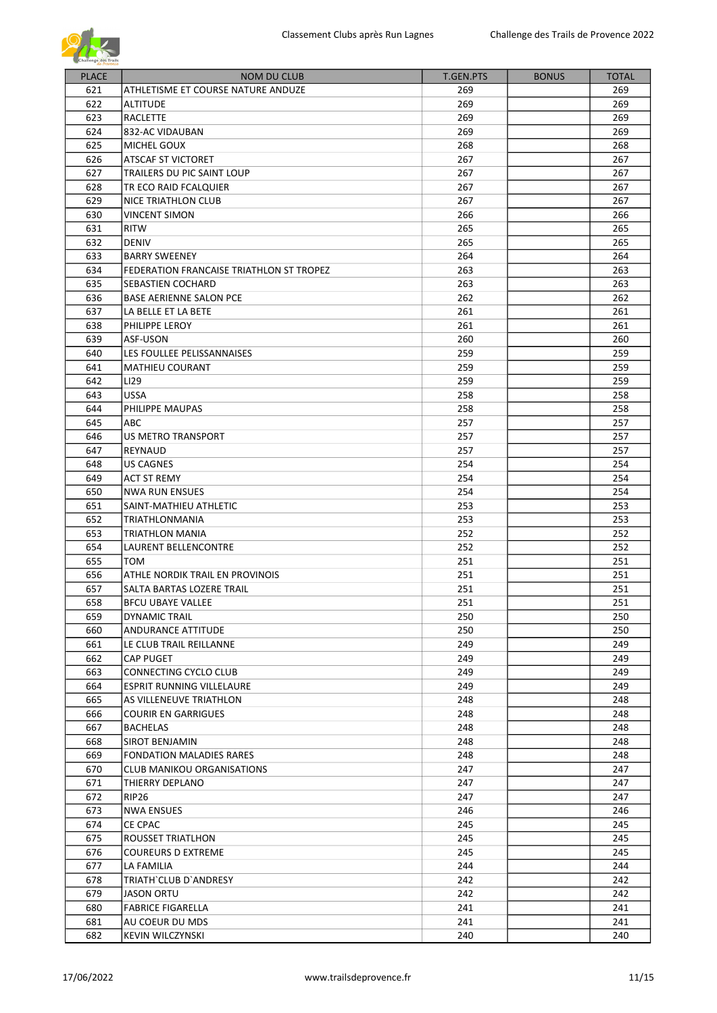

| <b>PLACE</b> | <b>NOM DU CLUB</b>                       | T.GEN.PTS | <b>BONUS</b> | <b>TOTAL</b> |
|--------------|------------------------------------------|-----------|--------------|--------------|
|              |                                          |           |              |              |
| 621          | ATHLETISME ET COURSE NATURE ANDUZE       | 269       |              | 269          |
| 622          | <b>ALTITUDE</b>                          | 269       |              | 269          |
| 623          | RACLETTE                                 | 269       |              | 269          |
| 624          | 832-AC VIDAUBAN                          | 269       |              | 269          |
| 625          | MICHEL GOUX                              | 268       |              | 268          |
| 626          | ATSCAF ST VICTORET                       | 267       |              | 267          |
| 627          | TRAILERS DU PIC SAINT LOUP               | 267       |              | 267          |
| 628          | TR ECO RAID FCALQUIER                    | 267       |              | 267          |
| 629          | NICE TRIATHLON CLUB                      | 267       |              | 267          |
| 630          | <b>VINCENT SIMON</b>                     | 266       |              | 266          |
| 631          | <b>RITW</b>                              | 265       |              | 265          |
| 632          | <b>DENIV</b>                             | 265       |              | 265          |
| 633          | <b>BARRY SWEENEY</b>                     | 264       |              | 264          |
| 634          | FEDERATION FRANCAISE TRIATHLON ST TROPEZ | 263       |              | 263          |
| 635          | <b>SEBASTIEN COCHARD</b>                 | 263       |              | 263          |
| 636          | <b>BASE AERIENNE SALON PCE</b>           | 262       |              | 262          |
| 637          | LA BELLE ET LA BETE                      | 261       |              | 261          |
| 638          | PHILIPPE LEROY                           | 261       |              | 261          |
| 639          | ASF-USON                                 | 260       |              | 260          |
| 640          | LES FOULLEE PELISSANNAISES               | 259       |              | 259          |
| 641          | <b>MATHIEU COURANT</b>                   | 259       |              | 259          |
| 642          |                                          |           |              |              |
|              | LI29                                     | 259       |              | 259          |
| 643          | <b>USSA</b>                              | 258       |              | 258          |
| 644          | PHILIPPE MAUPAS                          | 258       |              | 258          |
| 645          | ABC                                      | 257       |              | 257          |
| 646          | US METRO TRANSPORT                       | 257       |              | 257          |
| 647          | REYNAUD                                  | 257       |              | 257          |
| 648          | <b>US CAGNES</b>                         | 254       |              | 254          |
| 649          | <b>ACT ST REMY</b>                       | 254       |              | 254          |
| 650          | <b>NWA RUN ENSUES</b>                    | 254       |              | 254          |
| 651          | SAINT-MATHIEU ATHLETIC                   | 253       |              | 253          |
| 652          | TRIATHLONMANIA                           | 253       |              | 253          |
| 653          | <b>TRIATHLON MANIA</b>                   | 252       |              | 252          |
| 654          | LAURENT BELLENCONTRE                     | 252       |              | 252          |
| 655          | <b>TOM</b>                               | 251       |              | 251          |
| 656          | ATHLE NORDIK TRAIL EN PROVINOIS          | 251       |              | 251          |
| 657          | SALTA BARTAS LOZERE TRAIL                | 251       |              | 251          |
| 658          | <b>BFCU UBAYE VALLEE</b>                 | 251       |              | 251          |
| 659          | DYNAMIC TRAIL                            | 250       |              | 250          |
| 660          | ANDURANCE ATTITUDE                       | 250       |              | 250          |
| 661          | LE CLUB TRAIL REILLANNE                  | 249       |              | 249          |
| 662          | <b>CAP PUGET</b>                         | 249       |              | 249          |
| 663          | CONNECTING CYCLO CLUB                    | 249       |              | 249          |
| 664          | <b>ESPRIT RUNNING VILLELAURE</b>         | 249       |              | 249          |
| 665          | AS VILLENEUVE TRIATHLON                  | 248       |              | 248          |
| 666          | <b>COURIR EN GARRIGUES</b>               | 248       |              | 248          |
| 667          | <b>BACHELAS</b>                          | 248       |              | 248          |
| 668          | <b>SIROT BENJAMIN</b>                    | 248       |              | 248          |
| 669          | <b>FONDATION MALADIES RARES</b>          | 248       |              | 248          |
| 670          | <b>CLUB MANIKOU ORGANISATIONS</b>        | 247       |              | 247          |
| 671          | THIERRY DEPLANO                          | 247       |              | 247          |
| 672          | RIP26                                    | 247       |              | 247          |
| 673          | <b>NWA ENSUES</b>                        | 246       |              | 246          |
| 674          | <b>CE CPAC</b>                           | 245       |              | 245          |
|              |                                          |           |              |              |
| 675          | <b>ROUSSET TRIATLHON</b>                 | 245       |              | 245          |
| 676          | <b>COUREURS D EXTREME</b>                | 245       |              | 245          |
| 677          | LA FAMILIA                               | 244       |              | 244          |
| 678          | TRIATH`CLUB D`ANDRESY                    | 242       |              | 242          |
| 679          | <b>JASON ORTU</b>                        | 242       |              | 242          |
| 680          | <b>FABRICE FIGARELLA</b>                 | 241       |              | 241          |
| 681          | AU COEUR DU MDS                          | 241       |              | 241          |
| 682          | <b>KEVIN WILCZYNSKI</b>                  | 240       |              | 240          |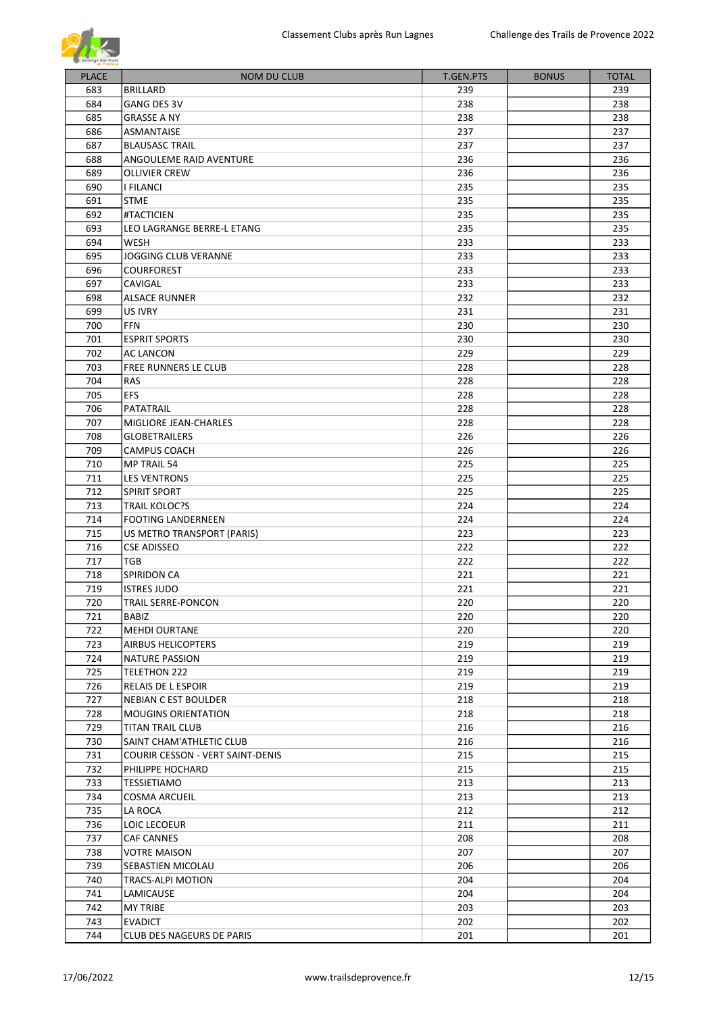

| <b>PLACE</b> | <b>NOM DU CLUB</b>                       | <b>T.GEN.PTS</b> | <b>BONUS</b> | <b>TOTAL</b> |
|--------------|------------------------------------------|------------------|--------------|--------------|
| 683          | <b>BRILLARD</b>                          | 239              |              | 239          |
| 684          | <b>GANG DES 3V</b>                       | 238              |              | 238          |
| 685          | <b>GRASSE A NY</b>                       | 238              |              | 238          |
| 686          | ASMANTAISE                               | 237              |              | 237          |
| 687          | <b>BLAUSASC TRAIL</b>                    | 237              |              | 237          |
| 688          | ANGOULEME RAID AVENTURE                  | 236              |              | 236          |
| 689          | <b>OLLIVIER CREW</b>                     | 236              |              | 236          |
| 690          | I FILANCI                                | 235              |              | 235          |
| 691          | <b>STME</b>                              | 235              |              | 235          |
| 692          | #TACTICIEN                               | 235              |              | 235          |
| 693          | LEO LAGRANGE BERRE-L ETANG               | 235              |              | 235          |
| 694          | WESH                                     | 233              |              | 233          |
| 695          | <b>JOGGING CLUB VERANNE</b>              | 233              |              | 233          |
| 696          | <b>COURFOREST</b>                        | 233              |              | 233          |
| 697          | CAVIGAL                                  | 233              |              | 233          |
| 698          | <b>ALSACE RUNNER</b>                     | 232              |              | 232          |
| 699          | US IVRY                                  | 231              |              | 231          |
| 700          | <b>FFN</b>                               | 230              |              | 230          |
| 701          | <b>ESPRIT SPORTS</b>                     | 230              |              | 230          |
| 702          | AC LANCON                                | 229              |              | 229          |
| 703          | FREE RUNNERS LE CLUB                     | 228              |              | 228          |
| 704          | <b>RAS</b>                               | 228              |              | 228          |
| 705          | <b>EFS</b>                               | 228              |              | 228          |
| 706          | PATATRAIL                                | 228              |              | 228          |
| 707          | MIGLIORE JEAN-CHARLES                    | 228              |              | 228          |
| 708          | <b>GLOBETRAILERS</b>                     | 226              |              | 226          |
| 709          | <b>CAMPUS COACH</b>                      | 226              |              | 226          |
| 710          | <b>MP TRAIL 54</b>                       | 225              |              | 225          |
| 711          | LES VENTRONS                             | 225              |              | 225          |
| 712          | <b>SPIRIT SPORT</b>                      | 225              |              | 225          |
| 713          | <b>TRAIL KOLOC?S</b>                     | 224              |              | 224          |
| 714          | <b>FOOTING LANDERNEEN</b>                | 224              |              | 224          |
| 715          | US METRO TRANSPORT (PARIS)               | 223              |              | 223          |
| 716          | <b>CSE ADISSEO</b>                       | 222              |              | 222          |
| 717          | TGB                                      | 222              |              | 222          |
| 718          | <b>SPIRIDON CA</b>                       | 221              |              | 221          |
| 719          | <b>ISTRES JUDO</b>                       | 221              |              | 221          |
| 720          | <b>TRAIL SERRE-PONCON</b>                | 220              |              | 220          |
| 721          | <b>BABIZ</b>                             | 220              |              | 220          |
| 722          | <b>MEHDI OURTANE</b>                     | 220              |              | 220          |
| 723          | <b>AIRBUS HELICOPTERS</b>                | 219              |              | 219          |
| 724          | NATURE PASSION                           | 219              |              | 219          |
| 725          | TELETHON 222                             | 219              |              | 219          |
| 726          | RELAIS DE L ESPOIR                       | 219              |              | 219          |
| 727          | NEBIAN C EST BOULDER                     | 218              |              | 218          |
| 728          | <b>MOUGINS ORIENTATION</b>               | 218              |              | 218          |
| 729          | <b>TITAN TRAIL CLUB</b>                  | 216              |              | 216          |
| 730          | SAINT CHAM'ATHLETIC CLUB                 | 216              |              | 216          |
| 731          | COURIR CESSON - VERT SAINT-DENIS         | 215              |              | 215          |
| 732          | PHILIPPE HOCHARD                         | 215              |              | 215          |
| 733          | TESSIETIAMO                              | 213              |              | 213          |
| 734          |                                          | 213              |              | 213          |
| 735          | <b>COSMA ARCUEIL</b><br>LA ROCA          | 212              |              | 212          |
| 736          | LOIC LECOEUR                             | 211              |              | 211          |
| 737          | CAF CANNES                               | 208              |              | 208          |
| 738          |                                          | 207              |              | 207          |
| 739          | <b>VOTRE MAISON</b><br>SEBASTIEN MICOLAU | 206              |              | 206          |
| 740          | TRACS-ALPI MOTION                        | 204              |              | 204          |
| 741          | LAMICAUSE                                | 204              |              | 204          |
| 742          | <b>MY TRIBE</b>                          | 203              |              | 203          |
| 743          | <b>EVADICT</b>                           | 202              |              | 202          |
| 744          | CLUB DES NAGEURS DE PARIS                | 201              |              | 201          |
|              |                                          |                  |              |              |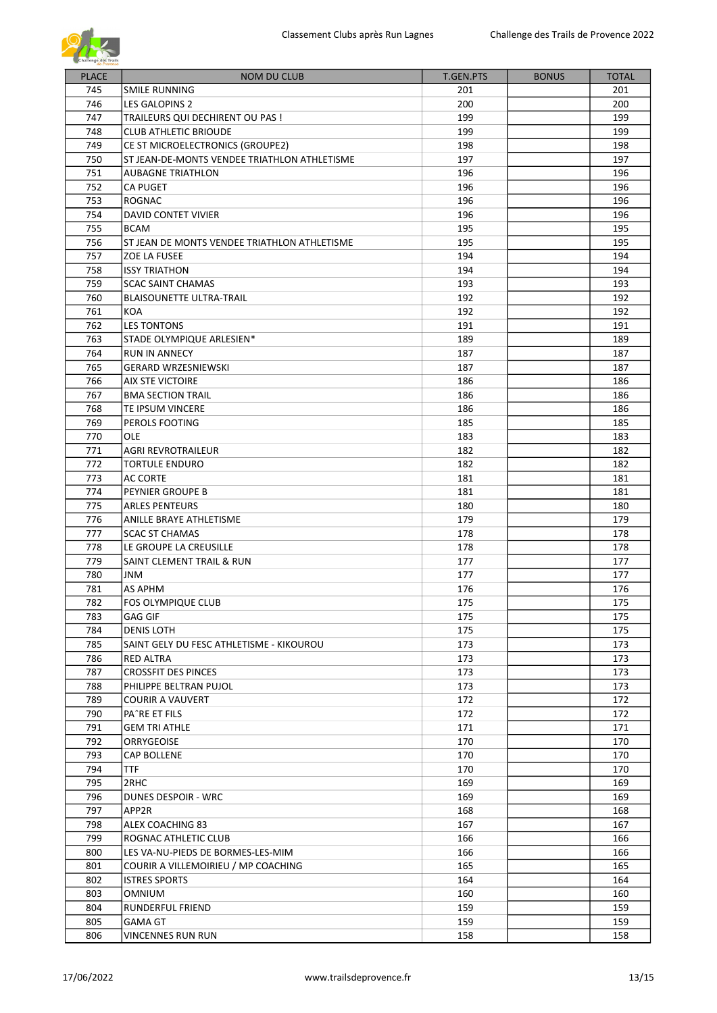| <b>PLACE</b> | <b>NOM DU CLUB</b>                           | T.GEN.PTS | <b>BONUS</b> | <b>TOTAL</b> |
|--------------|----------------------------------------------|-----------|--------------|--------------|
| 745          | SMILE RUNNING                                | 201       |              | 201          |
| 746          | LES GALOPINS 2                               | 200       |              | 200          |
| 747          | TRAILEURS QUI DECHIRENT OU PAS !             | 199       |              | 199          |
| 748          | <b>CLUB ATHLETIC BRIOUDE</b>                 | 199       |              | 199          |
| 749          | CE ST MICROELECTRONICS (GROUPE2)             | 198       |              | 198          |
| 750          | ST JEAN-DE-MONTS VENDEE TRIATHLON ATHLETISME | 197       |              | 197          |
| 751          | <b>AUBAGNE TRIATHLON</b>                     | 196       |              | 196          |
| 752          | <b>CA PUGET</b>                              | 196       |              | 196          |
| 753          | ROGNAC                                       | 196       |              | 196          |
| 754          | DAVID CONTET VIVIER                          | 196       |              | 196          |
| 755          | <b>BCAM</b>                                  | 195       |              | 195          |
| 756          | ST JEAN DE MONTS VENDEE TRIATHLON ATHLETISME | 195       |              | 195          |
| 757          | ZOE LA FUSEE                                 | 194       |              | 194          |
| 758          | <b>ISSY TRIATHON</b>                         | 194       |              | 194          |
| 759          | <b>SCAC SAINT CHAMAS</b>                     | 193       |              | 193          |
| 760          | <b>BLAISOUNETTE ULTRA-TRAIL</b>              | 192       |              | 192          |
| 761          | KOA                                          | 192       |              | 192          |
| 762          | <b>LES TONTONS</b>                           | 191       |              | 191          |
| 763          | STADE OLYMPIQUE ARLESIEN*                    | 189       |              | 189          |
| 764          | <b>RUN IN ANNECY</b>                         | 187       |              | 187          |
| 765          | <b>GERARD WRZESNIEWSKI</b>                   | 187       |              | 187          |
| 766          | <b>AIX STE VICTOIRE</b>                      | 186       |              | 186          |
| 767          | <b>BMA SECTION TRAIL</b>                     | 186       |              | 186          |
| 768          | TE IPSUM VINCERE                             | 186       |              | 186          |
| 769          | PEROLS FOOTING                               | 185       |              | 185          |
| 770          | OLE                                          | 183       |              | 183          |
| 771          | <b>AGRI REVROTRAILEUR</b>                    | 182       |              | 182          |
| 772          | <b>TORTULE ENDURO</b>                        | 182       |              | 182          |
| 773          | <b>AC CORTE</b>                              | 181       |              | 181          |
| 774          | PEYNIER GROUPE B                             | 181       |              | 181          |
| 775          | <b>ARLES PENTEURS</b>                        | 180       |              | 180          |
| 776          | ANILLE BRAYE ATHLETISME                      | 179       |              | 179          |
| 777          | <b>SCAC ST CHAMAS</b>                        | 178       |              | 178          |
| 778          | LE GROUPE LA CREUSILLE                       | 178       |              | 178          |
| 779          | SAINT CLEMENT TRAIL & RUN                    | 177       |              | 177          |
| 780          | JNM                                          | 177       |              | 177          |
| 781          | AS APHM                                      | 176       |              | 176          |
| 782          | FOS OLYMPIQUE CLUB                           | 175       |              | 175          |
| 783          | GAG GIF                                      | 175       |              | 175          |
| 784          | <b>DENIS LOTH</b>                            | 175       |              | 175          |
| 785          | SAINT GELY DU FESC ATHLETISME - KIKOUROU     | 173       |              | 173          |
| 786          | <b>RED ALTRA</b>                             | 173       |              | 173          |
| 787          | <b>CROSSFIT DES PINCES</b>                   | 173       |              | 173          |
| 788          | PHILIPPE BELTRAN PUJOL                       | 173       |              | 173          |
| 789          | <b>COURIR A VAUVERT</b>                      | 172       |              | 172          |
| 790          | PA^RE ET FILS                                | 172       |              | 172          |
| 791          | <b>GEM TRI ATHLE</b>                         | 171       |              | 171          |
| 792          | ORRYGEOISE                                   | 170       |              | 170          |
| 793          | CAP BOLLENE                                  | 170       |              | 170          |
| 794          | <b>TTF</b>                                   | 170       |              | 170          |
| 795          | 2RHC                                         | 169       |              | 169          |
| 796          | <b>DUNES DESPOIR - WRC</b>                   | 169       |              | 169          |
| 797          | APP2R                                        | 168       |              | 168          |
| 798          | ALEX COACHING 83                             | 167       |              | 167          |
| 799          | ROGNAC ATHLETIC CLUB                         | 166       |              | 166          |
| 800          | LES VA-NU-PIEDS DE BORMES-LES-MIM            | 166       |              | 166          |
| 801          | COURIR A VILLEMOIRIEU / MP COACHING          | 165       |              | 165          |
| 802          | <b>ISTRES SPORTS</b>                         | 164       |              | 164          |
| 803          | <b>OMNIUM</b>                                | 160       |              | 160          |
| 804          | RUNDERFUL FRIEND                             | 159       |              | 159          |
| 805          | <b>GAMA GT</b>                               | 159       |              | 159          |
| 806          | <b>VINCENNES RUN RUN</b>                     | 158       |              | 158          |
|              |                                              |           |              |              |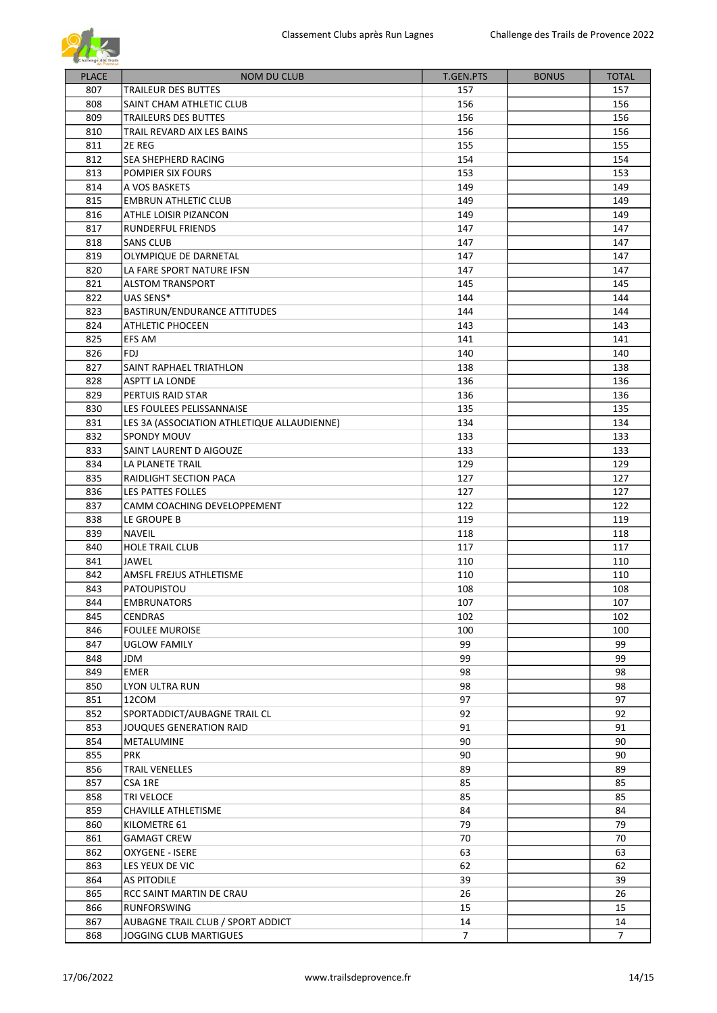

| <b>PLACE</b> | <b>NOM DU CLUB</b>                          | T.GEN.PTS      | <b>BONUS</b> | <b>TOTAL</b>   |
|--------------|---------------------------------------------|----------------|--------------|----------------|
| 807          | <b>TRAILEUR DES BUTTES</b>                  | 157            |              | 157            |
| 808          | SAINT CHAM ATHLETIC CLUB                    | 156            |              | 156            |
| 809          | TRAILEURS DES BUTTES                        | 156            |              | 156            |
| 810          | TRAIL REVARD AIX LES BAINS                  | 156            |              | 156            |
| 811          | 2E REG                                      | 155            |              | 155            |
| 812          | SEA SHEPHERD RACING                         | 154            |              | 154            |
| 813          | POMPIER SIX FOURS                           | 153            |              | 153            |
| 814          | A VOS BASKETS                               | 149            |              | 149            |
| 815          | <b>EMBRUN ATHLETIC CLUB</b>                 | 149            |              | 149            |
| 816          | ATHLE LOISIR PIZANCON                       | 149            |              | 149            |
| 817          | RUNDERFUL FRIENDS                           | 147            |              | 147            |
| 818          | <b>SANS CLUB</b>                            | 147            |              | 147            |
| 819          | OLYMPIQUE DE DARNETAL                       | 147            |              | 147            |
| 820          | LA FARE SPORT NATURE IFSN                   | 147            |              | 147            |
| 821          | <b>ALSTOM TRANSPORT</b>                     | 145            |              | 145            |
| 822          | UAS SENS*                                   | 144            |              | 144            |
| 823          | BASTIRUN/ENDURANCE ATTITUDES                | 144            |              | 144            |
| 824          | <b>ATHLETIC PHOCEEN</b>                     | 143            |              | 143            |
| 825          | EFS AM                                      | 141            |              | 141            |
| 826          | FDJ                                         | 140            |              | 140            |
| 827          | SAINT RAPHAEL TRIATHLON                     | 138            |              | 138            |
| 828          | <b>ASPTT LA LONDE</b>                       | 136            |              | 136            |
| 829          | PERTUIS RAID STAR                           | 136            |              | 136            |
| 830          | LES FOULEES PELISSANNAISE                   | 135            |              | 135            |
| 831          | LES 3A (ASSOCIATION ATHLETIQUE ALLAUDIENNE) | 134            |              | 134            |
| 832          | <b>SPONDY MOUV</b>                          | 133            |              | 133            |
| 833          | SAINT LAURENT D AIGOUZE                     | 133            |              | 133            |
| 834          | LA PLANETE TRAIL                            | 129            |              | 129            |
| 835          | RAIDLIGHT SECTION PACA                      | 127            |              | 127            |
| 836          | LES PATTES FOLLES                           | 127            |              | 127            |
| 837          | CAMM COACHING DEVELOPPEMENT                 | 122            |              | 122            |
| 838          | LE GROUPE B                                 | 119            |              | 119            |
| 839          | <b>NAVEIL</b>                               | 118            |              | 118            |
| 840          | <b>HOLE TRAIL CLUB</b>                      | 117            |              | 117            |
| 841          | <b>JAWEL</b>                                | 110            |              | 110            |
| 842          | AMSFL FREJUS ATHLETISME                     | 110            |              | 110            |
| 843          | PATOUPISTOU                                 | 108            |              | 108            |
| 844          | <b>EMBRUNATORS</b>                          | 107            |              | 107            |
| 845          | CENDRAS                                     | 102            |              | 102            |
| 846          | <b>FOULEE MUROISE</b>                       | 100            |              | 100            |
| 847          | <b>UGLOW FAMILY</b>                         | 99             |              | 99             |
| 848          | JDM                                         | 99             |              | 99             |
| 849          | EMER                                        | 98             |              | 98             |
| 850          | LYON ULTRA RUN                              | 98             |              | 98             |
| 851          | 12COM                                       | 97             |              | 97             |
| 852          | SPORTADDICT/AUBAGNE TRAIL CL                | 92             |              | 92             |
| 853          | JOUQUES GENERATION RAID                     | 91             |              | 91             |
| 854          | METALUMINE                                  | 90             |              | 90             |
| 855          | PRK                                         | 90             |              | 90             |
| 856          | <b>TRAIL VENELLES</b>                       | 89             |              | 89             |
| 857          | CSA 1RE                                     | 85             |              | 85             |
| 858          | TRI VELOCE                                  | 85             |              | 85             |
|              |                                             |                |              |                |
| 859<br>860   | CHAVILLE ATHLETISME                         | 84<br>79       |              | 84<br>79       |
|              | KILOMETRE 61                                |                |              | 70             |
| 861          | <b>GAMAGT CREW</b>                          | 70             |              |                |
| 862          | OXYGENE - ISERE                             | 63             |              | 63             |
| 863          | LES YEUX DE VIC                             | 62             |              | 62             |
| 864          | <b>AS PITODILE</b>                          | 39             |              | 39             |
| 865          | RCC SAINT MARTIN DE CRAU                    | 26             |              | 26             |
| 866          | RUNFORSWING                                 | 15             |              | 15             |
| 867          | AUBAGNE TRAIL CLUB / SPORT ADDICT           | 14             |              | 14             |
| 868          | JOGGING CLUB MARTIGUES                      | $\overline{7}$ |              | $\overline{7}$ |